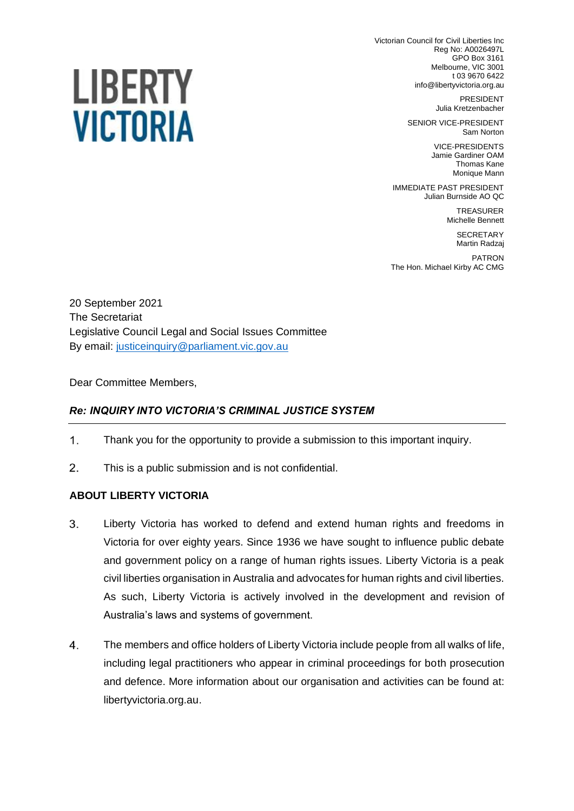Victorian Council for Civil Liberties Inc Reg No: A0026497L GPO Box 3161 Melbourne, VIC 3001 t 03 9670 6422 info@libertyvictoria.org.au

> PRESIDENT Julia Kretzenbacher

SENIOR VICE-PRESIDENT Sam Norton

> VICE-PRESIDENTS Jamie Gardiner OAM Thomas Kane Monique Mann

IMMEDIATE PAST PRESIDENT Julian Burnside AO QC

> TREASURER Michelle Bennett

**SECRETARY** Martin Radzaj

PATRON The Hon. Michael Kirby AC CMG

20 September 2021 The Secretariat Legislative Council Legal and Social Issues Committee By email: [justiceinquiry@parliament.vic.gov.au](mailto:justiceinquiry@parliament.vic.gov.au)

Dear Committee Members,

## *Re: INQUIRY INTO VICTORIA'S CRIMINAL JUSTICE SYSTEM*

- $1<sub>1</sub>$ Thank you for the opportunity to provide a submission to this important inquiry.
- $2.$ This is a public submission and is not confidential.

#### **ABOUT LIBERTY VICTORIA**

- $3<sub>1</sub>$ Liberty Victoria has worked to defend and extend human rights and freedoms in Victoria for over eighty years. Since 1936 we have sought to influence public debate and government policy on a range of human rights issues. Liberty Victoria is a peak civil liberties organisation in Australia and advocates for human rights and civil liberties. As such, Liberty Victoria is actively involved in the development and revision of Australia's laws and systems of government.
- $\overline{4}$ . The members and office holders of Liberty Victoria include people from all walks of life, including legal practitioners who appear in criminal proceedings for both prosecution and defence. More information about our organisation and activities can be found at: [libertyvictoria.org.au.](http://www.libertyvictoria.org.au/)

# LIBERTY **VICTORIA**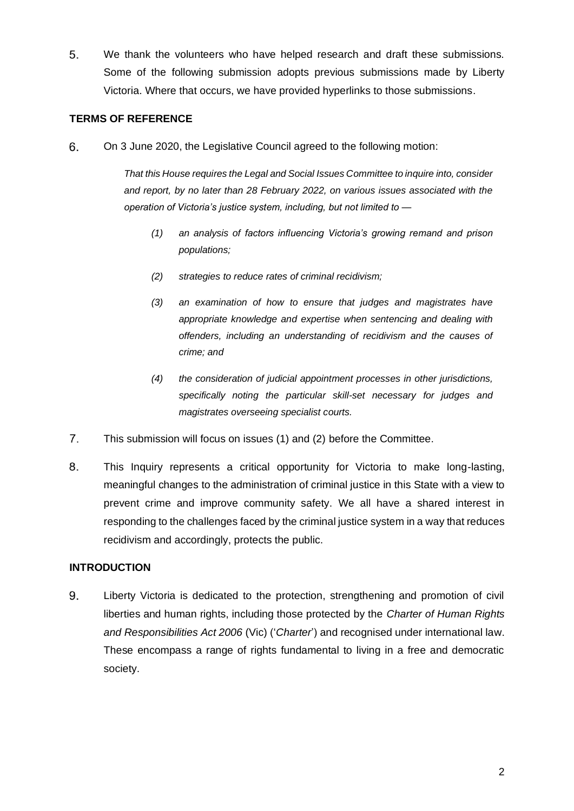5. We thank the volunteers who have helped research and draft these submissions. Some of the following submission adopts previous submissions made by Liberty Victoria. Where that occurs, we have provided hyperlinks to those submissions.

### **TERMS OF REFERENCE**

6. On 3 June 2020, the Legislative Council agreed to the following motion:

> *That this House requires the Legal and Social Issues Committee to inquire into, consider and report, by no later than 28 February 2022, on various issues associated with the operation of Victoria's justice system, including, but not limited to —*

- *(1) an analysis of factors influencing Victoria's growing remand and prison populations;*
- *(2) strategies to reduce rates of criminal recidivism;*
- *(3) an examination of how to ensure that judges and magistrates have appropriate knowledge and expertise when sentencing and dealing with offenders, including an understanding of recidivism and the causes of crime; and*
- *(4) the consideration of judicial appointment processes in other jurisdictions, specifically noting the particular skill-set necessary for judges and magistrates overseeing specialist courts.*
- $7.$ This submission will focus on issues (1) and (2) before the Committee.
- 8. This Inquiry represents a critical opportunity for Victoria to make long-lasting, meaningful changes to the administration of criminal justice in this State with a view to prevent crime and improve community safety. We all have a shared interest in responding to the challenges faced by the criminal justice system in a way that reduces recidivism and accordingly, protects the public.

## **INTRODUCTION**

9. Liberty Victoria is dedicated to the protection, strengthening and promotion of civil liberties and human rights, including those protected by the *Charter of Human Rights and Responsibilities Act 2006* (Vic) ('*Charter*') and recognised under international law. These encompass a range of rights fundamental to living in a free and democratic society.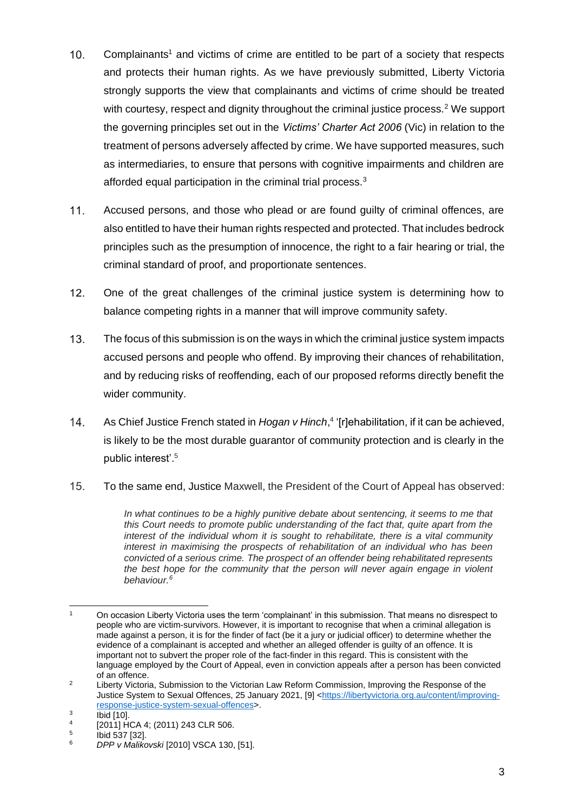- Complainants<sup>1</sup> and victims of crime are entitled to be part of a society that respects  $10.$ and protects their human rights. As we have previously submitted, Liberty Victoria strongly supports the view that complainants and victims of crime should be treated with courtesy, respect and dignity throughout the criminal justice process.<sup>2</sup> We support the governing principles set out in the *Victims' Charter Act 2006* (Vic) in relation to the treatment of persons adversely affected by crime. We have supported measures, such as intermediaries, to ensure that persons with cognitive impairments and children are afforded equal participation in the criminal trial process.<sup>3</sup>
- $11.$ Accused persons, and those who plead or are found guilty of criminal offences, are also entitled to have their human rights respected and protected. That includes bedrock principles such as the presumption of innocence, the right to a fair hearing or trial, the criminal standard of proof, and proportionate sentences.
- $12.$ One of the great challenges of the criminal justice system is determining how to balance competing rights in a manner that will improve community safety.
- $13.$ The focus of this submission is on the ways in which the criminal justice system impacts accused persons and people who offend. By improving their chances of rehabilitation, and by reducing risks of reoffending, each of our proposed reforms directly benefit the wider community.
- $14.$ As Chief Justice French stated in *Hogan v Hinch*, 4 '[r]ehabilitation, if it can be achieved, is likely to be the most durable guarantor of community protection and is clearly in the public interest'.<sup>5</sup>
- $15.$ To the same end, Justice Maxwell, the President of the Court of Appeal has observed:

*In what continues to be a highly punitive debate about sentencing, it seems to me that this Court needs to promote public understanding of the fact that, quite apart from the interest of the individual whom it is sought to rehabilitate, there is a vital community interest in maximising the prospects of rehabilitation of an individual who has been convicted of a serious crime. The prospect of an offender being rehabilitated represents the best hope for the community that the person will never again engage in violent behaviour.<sup>6</sup>*

<sup>1</sup> On occasion Liberty Victoria uses the term 'complainant' in this submission. That means no disrespect to people who are victim-survivors. However, it is important to recognise that when a criminal allegation is made against a person, it is for the finder of fact (be it a jury or judicial officer) to determine whether the evidence of a complainant is accepted and whether an alleged offender is guilty of an offence. It is important not to subvert the proper role of the fact-finder in this regard. This is consistent with the language employed by the Court of Appeal, even in conviction appeals after a person has been convicted of an offence.

<sup>&</sup>lt;sup>2</sup> Liberty Victoria, Submission to the Victorian Law Reform Commission, Improving the Response of the Justice System to Sexual Offences, 25 January 2021, [9] [<https://libertyvictoria.org.au/content/improving](https://libertyvictoria.org.au/content/improving-response-justice-system-sexual-offences)[response-justice-system-sexual-offences>](https://libertyvictoria.org.au/content/improving-response-justice-system-sexual-offences). 3

Ibid [10]. 4 [2011] HCA 4; (2011) 243 CLR 506.

<sup>5</sup> Ibid 537 [32].

<sup>6</sup> *DPP v Malikovski* [2010] VSCA 130, [51].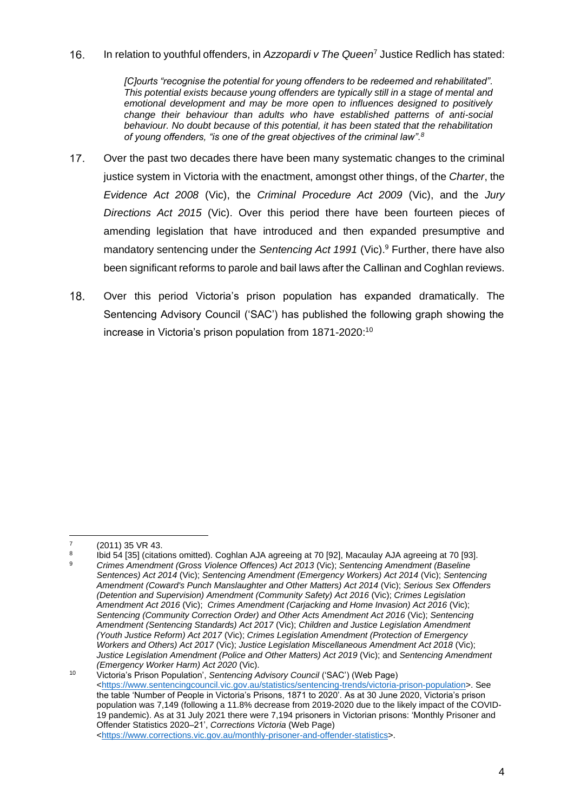In relation to youthful offenders, in *Azzopardi v The Queen*<sup>7</sup> Justice Redlich has stated:  $16.$ 

> *[C]ourts "recognise the potential for young offenders to be redeemed and rehabilitated". This potential exists because young offenders are typically still in a stage of mental and emotional development and may be more open to influences designed to positively change their behaviour than adults who have established patterns of anti-social behaviour. No doubt because of this potential, it has been stated that the rehabilitation of young offenders, "is one of the great objectives of the criminal law".<sup>8</sup>*

- $17.$ Over the past two decades there have been many systematic changes to the criminal justice system in Victoria with the enactment, amongst other things, of the *Charter*, the *Evidence Act 2008* (Vic), the *Criminal Procedure Act 2009* (Vic), and the *Jury Directions Act 2015* (Vic). Over this period there have been fourteen pieces of amending legislation that have introduced and then expanded presumptive and mandatory sentencing under the *Sentencing Act 1991* (Vic).<sup>9</sup> Further, there have also been significant reforms to parole and bail laws after the Callinan and Coghlan reviews.
- 18. Over this period Victoria's prison population has expanded dramatically. The Sentencing Advisory Council ('SAC') has published the following graph showing the increase in Victoria's prison population from 1871-2020: 10

<sup>7</sup> (2011) 35 VR 43.

<sup>8</sup> Ibid 54 [35] (citations omitted). Coghlan AJA agreeing at 70 [92], Macaulay AJA agreeing at 70 [93]. <sup>9</sup> *Crimes Amendment (Gross Violence Offences) Act 2013* (Vic); *Sentencing Amendment (Baseline Sentences) Act 2014* (Vic); *Sentencing Amendment (Emergency Workers) Act 2014* (Vic); *Sentencing Amendment (Coward's Punch Manslaughter and Other Matters) Act 2014* (Vic); *Serious Sex Offenders (Detention and Supervision) Amendment (Community Safety) Act 2016* (Vic); *Crimes Legislation Amendment Act 2016* (Vic); *Crimes Amendment (Carjacking and Home Invasion) Act 2016* (Vic); *Sentencing (Community Correction Order) and Other Acts Amendment Act 2016* (Vic); *Sentencing Amendment (Sentencing Standards) Act 2017* (Vic); *Children and Justice Legislation Amendment (Youth Justice Reform) Act 2017* (Vic); *Crimes Legislation Amendment (Protection of Emergency Workers and Others) Act 2017* (Vic); *Justice Legislation Miscellaneous Amendment Act 2018* (Vic); *Justice Legislation Amendment (Police and Other Matters) Act 2019* (Vic); and *Sentencing Amendment (Emergency Worker Harm) Act 2020* (Vic).

<sup>10</sup> Victoria's Prison Population', *Sentencing Advisory Council* ('SAC') (Web Page) [<https://www.sentencingcouncil.vic.gov.au/statistics/sentencing-trends/victoria-prison-population>](https://www.sentencingcouncil.vic.gov.au/statistics/sentencing-trends/victoria-prison-population). See the table 'Number of People in Victoria's Prisons, 1871 to 2020'. As at 30 June 2020, Victoria's prison population was 7,149 (following a 11.8% decrease from 2019-2020 due to the likely impact of the COVID-19 pandemic). As at 31 July 2021 there were 7,194 prisoners in Victorian prisons: 'Monthly Prisoner and Offender Statistics 2020–21', *Corrections Victoria* (Web Page) [<https://www.corrections.vic.gov.au/monthly-prisoner-and-offender-statistics>](https://www.corrections.vic.gov.au/monthly-prisoner-and-offender-statistics).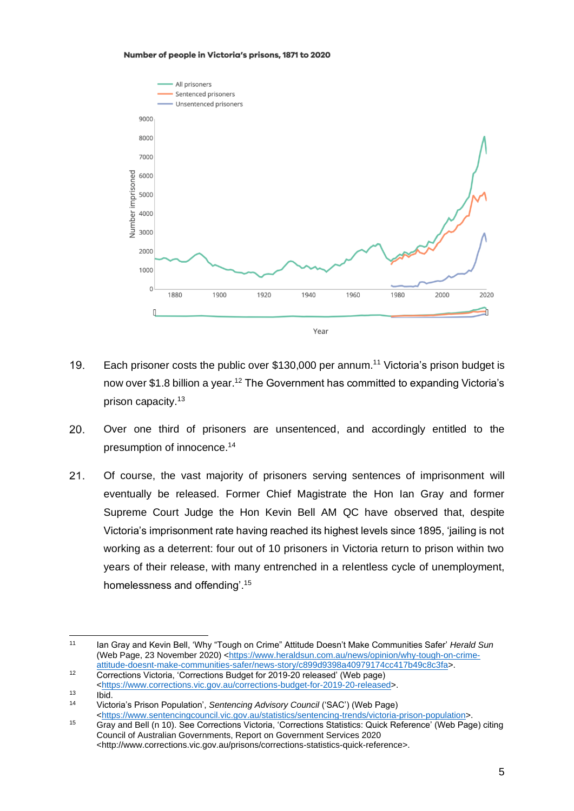#### Number of people in Victoria's prisons, 1871 to 2020



- $19<sub>1</sub>$ Each prisoner costs the public over \$130,000 per annum.<sup>11</sup> Victoria's prison budget is now over \$1.8 billion a year.<sup>12</sup> The Government has committed to expanding Victoria's prison capacity.<sup>13</sup>
- 20. Over one third of prisoners are unsentenced, and accordingly entitled to the presumption of innocence.<sup>14</sup>
- $21.$ Of course, the vast majority of prisoners serving sentences of imprisonment will eventually be released. Former Chief Magistrate the Hon Ian Gray and former Supreme Court Judge the Hon Kevin Bell AM QC have observed that, despite Victoria's imprisonment rate having reached its highest levels since 1895, 'jailing is not working as a deterrent: four out of 10 prisoners in Victoria return to prison within two years of their release, with many entrenched in a relentless cycle of unemployment, homelessness and offending'.<sup>15</sup>

<sup>11</sup> Ian Gray and Kevin Bell, 'Why "Tough on Crime" Attitude Doesn't Make Communities Safer' *Herald Sun* (Web Page, 23 November 2020) [<https://www.heraldsun.com.au/news/opinion/why-tough-on-crime](https://www.heraldsun.com.au/news/opinion/why-tough-on-crime-attitude-doesnt-make-communities-safer/news-story/c899d9398a40979174cc417b49c8c3fa)[attitude-doesnt-make-communities-safer/news-story/c899d9398a40979174cc417b49c8c3fa>](https://www.heraldsun.com.au/news/opinion/why-tough-on-crime-attitude-doesnt-make-communities-safer/news-story/c899d9398a40979174cc417b49c8c3fa).

<sup>12</sup> Corrections Victoria, 'Corrections Budget for 2019-20 released' (Web page) [<https://www.corrections.vic.gov.au/corrections-budget-for-2019-20-released>](https://www.corrections.vic.gov.au/corrections-budget-for-2019-20-released).

 $13$  Ibid.<br> $14$  Viete

<sup>14</sup> Victoria's Prison Population', *Sentencing Advisory Council* ('SAC') (Web Page) [<https://www.sentencingcouncil.vic.gov.au/statistics/sentencing-trends/victoria-prison-population>](https://www.sentencingcouncil.vic.gov.au/statistics/sentencing-trends/victoria-prison-population).

<sup>15</sup> Gray and Bell (n 10). See Corrections Victoria, 'Corrections Statistics: Quick Reference' (Web Page) citing Council of Australian Governments, Report on Government Services 2020 <http://www.corrections.vic.gov.au/prisons/corrections-statistics-quick-reference>.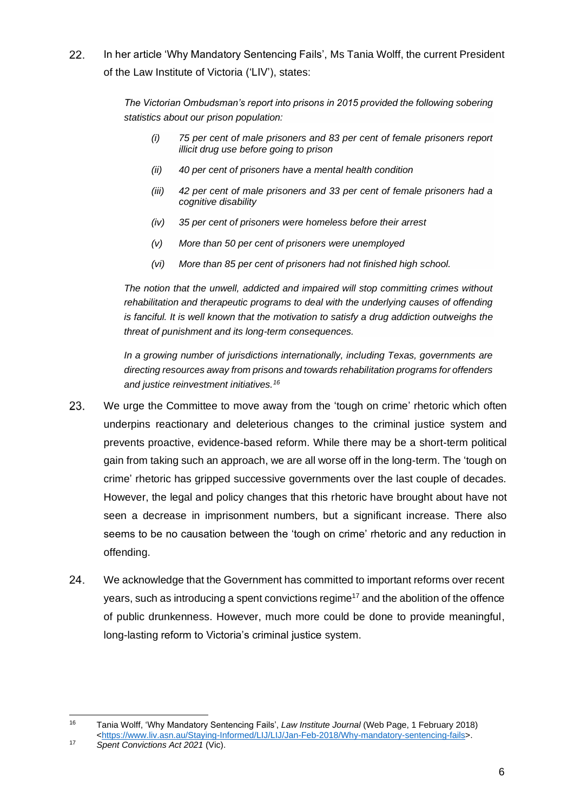In her article 'Why Mandatory Sentencing Fails', Ms Tania Wolff, the current President  $22.$ of the Law Institute of Victoria ('LIV'), states:

> *The Victorian Ombudsman's report into prisons in 2015 provided the following sobering statistics about our prison population:*

- *(i) 75 per cent of male prisoners and 83 per cent of female prisoners report illicit drug use before going to prison*
- *(ii) 40 per cent of prisoners have a mental health condition*
- *(iii) 42 per cent of male prisoners and 33 per cent of female prisoners had a cognitive disability*
- *(iv) 35 per cent of prisoners were homeless before their arrest*
- *(v) More than 50 per cent of prisoners were unemployed*
- *(vi) More than 85 per cent of prisoners had not finished high school.*

*The notion that the unwell, addicted and impaired will stop committing crimes without rehabilitation and therapeutic programs to deal with the underlying causes of offending is fanciful. It is well known that the motivation to satisfy a drug addiction outweighs the threat of punishment and its long-term consequences.*

*In a growing number of jurisdictions internationally, including Texas, governments are directing resources away from prisons and towards rehabilitation programs for offenders and justice reinvestment initiatives.<sup>16</sup>*

- 23. We urge the Committee to move away from the 'tough on crime' rhetoric which often underpins reactionary and deleterious changes to the criminal justice system and prevents proactive, evidence-based reform. While there may be a short-term political gain from taking such an approach, we are all worse off in the long-term. The 'tough on crime' rhetoric has gripped successive governments over the last couple of decades. However, the legal and policy changes that this rhetoric have brought about have not seen a decrease in imprisonment numbers, but a significant increase. There also seems to be no causation between the 'tough on crime' rhetoric and any reduction in offending.
- 24. We acknowledge that the Government has committed to important reforms over recent years, such as introducing a spent convictions regime<sup>17</sup> and the abolition of the offence of public drunkenness. However, much more could be done to provide meaningful, long-lasting reform to Victoria's criminal justice system.

<sup>16</sup> Tania Wolff, 'Why Mandatory Sentencing Fails', *Law Institute Journal* (Web Page, 1 February 2018) [<https://www.liv.asn.au/Staying-Informed/LIJ/LIJ/Jan-Feb-2018/Why-mandatory-sentencing-fails>](https://www.liv.asn.au/Staying-Informed/LIJ/LIJ/Jan-Feb-2018/Why-mandatory-sentencing-fails).

<sup>17</sup> *Spent Convictions Act 2021* (Vic).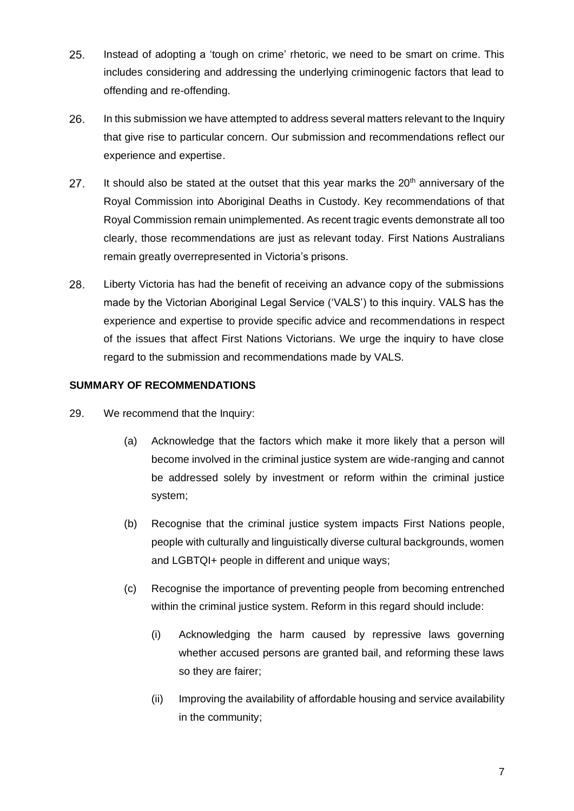- Instead of adopting a 'tough on crime' rhetoric, we need to be smart on crime. This 25. includes considering and addressing the underlying criminogenic factors that lead to offending and re-offending.
- 26. In this submission we have attempted to address several matters relevant to the Inquiry that give rise to particular concern. Our submission and recommendations reflect our experience and expertise.
- It should also be stated at the outset that this year marks the  $20<sup>th</sup>$  anniversary of the 27. Royal Commission into Aboriginal Deaths in Custody. Key recommendations of that Royal Commission remain unimplemented. As recent tragic events demonstrate all too clearly, those recommendations are just as relevant today. First Nations Australians remain greatly overrepresented in Victoria's prisons.
- 28. Liberty Victoria has had the benefit of receiving an advance copy of the submissions made by the Victorian Aboriginal Legal Service ('VALS') to this inquiry. VALS has the experience and expertise to provide specific advice and recommendations in respect of the issues that affect First Nations Victorians. We urge the inquiry to have close regard to the submission and recommendations made by VALS.

## **SUMMARY OF RECOMMENDATIONS**

- 29. We recommend that the Inquiry:
	- (a) Acknowledge that the factors which make it more likely that a person will become involved in the criminal justice system are wide-ranging and cannot be addressed solely by investment or reform within the criminal justice system;
	- (b) Recognise that the criminal justice system impacts First Nations people, people with culturally and linguistically diverse cultural backgrounds, women and LGBTQI+ people in different and unique ways;
	- (c) Recognise the importance of preventing people from becoming entrenched within the criminal justice system. Reform in this regard should include:
		- (i) Acknowledging the harm caused by repressive laws governing whether accused persons are granted bail, and reforming these laws so they are fairer;
		- (ii) Improving the availability of affordable housing and service availability in the community;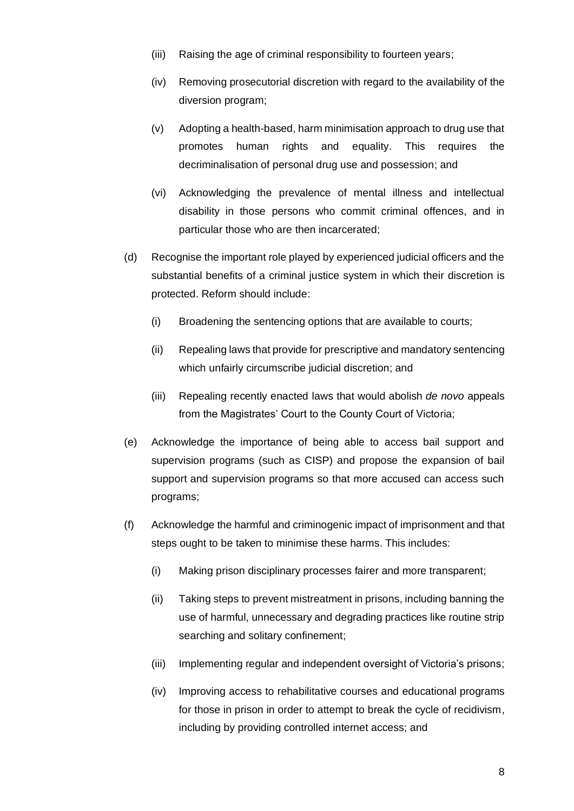- (iii) Raising the age of criminal responsibility to fourteen years;
- (iv) Removing prosecutorial discretion with regard to the availability of the diversion program;
- (v) Adopting a health-based, harm minimisation approach to drug use that promotes human rights and equality. This requires the decriminalisation of personal drug use and possession; and
- (vi) Acknowledging the prevalence of mental illness and intellectual disability in those persons who commit criminal offences, and in particular those who are then incarcerated;
- (d) Recognise the important role played by experienced judicial officers and the substantial benefits of a criminal justice system in which their discretion is protected. Reform should include:
	- (i) Broadening the sentencing options that are available to courts;
	- (ii) Repealing laws that provide for prescriptive and mandatory sentencing which unfairly circumscribe judicial discretion; and
	- (iii) Repealing recently enacted laws that would abolish *de novo* appeals from the Magistrates' Court to the County Court of Victoria;
- (e) Acknowledge the importance of being able to access bail support and supervision programs (such as CISP) and propose the expansion of bail support and supervision programs so that more accused can access such programs;
- (f) Acknowledge the harmful and criminogenic impact of imprisonment and that steps ought to be taken to minimise these harms. This includes:
	- (i) Making prison disciplinary processes fairer and more transparent;
	- (ii) Taking steps to prevent mistreatment in prisons, including banning the use of harmful, unnecessary and degrading practices like routine strip searching and solitary confinement;
	- (iii) Implementing regular and independent oversight of Victoria's prisons;
	- (iv) Improving access to rehabilitative courses and educational programs for those in prison in order to attempt to break the cycle of recidivism, including by providing controlled internet access; and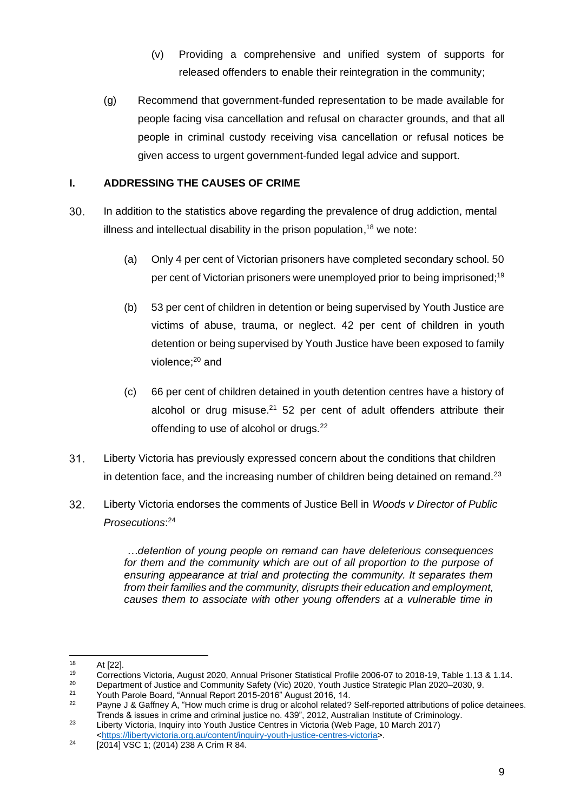- (v) Providing a comprehensive and unified system of supports for released offenders to enable their reintegration in the community;
- (g) Recommend that government-funded representation to be made available for people facing visa cancellation and refusal on character grounds, and that all people in criminal custody receiving visa cancellation or refusal notices be given access to urgent government-funded legal advice and support.

## **I. ADDRESSING THE CAUSES OF CRIME**

- 30. In addition to the statistics above regarding the prevalence of drug addiction, mental illness and intellectual disability in the prison population,<sup>18</sup> we note:
	- (a) Only 4 per cent of Victorian prisoners have completed secondary school. 50 per cent of Victorian prisoners were unemployed prior to being imprisoned;<sup>19</sup>
	- (b) 53 per cent of children in detention or being supervised by Youth Justice are victims of abuse, trauma, or neglect. 42 per cent of children in youth detention or being supervised by Youth Justice have been exposed to family violence; <sup>20</sup> and
	- (c) 66 per cent of children detained in youth detention centres have a history of alcohol or drug misuse. $21$  52 per cent of adult offenders attribute their offending to use of alcohol or drugs.<sup>22</sup>
- 31. Liberty Victoria has previously expressed concern about the conditions that children in detention face, and the increasing number of children being detained on remand. $^{23}$
- 32. Liberty Victoria endorses the comments of Justice Bell in *Woods v Director of Public Prosecutions*: 24

*…detention of young people on remand can have deleterious consequences for them and the community which are out of all proportion to the purpose of ensuring appearance at trial and protecting the community. It separates them from their families and the community, disrupts their education and employment, causes them to associate with other young offenders at a vulnerable time in* 

 $18$  At [22].

<sup>19</sup> Corrections Victoria, August 2020, Annual Prisoner Statistical Profile 2006-07 to 2018-19, Table 1.13 & 1.14.<br>20 Department of Justice and Community Safety (Vic) 2020, Youth Justice Strategic Plan 2020–2030, 9

<sup>&</sup>lt;sup>20</sup> Department of Justice and Community Safety (Vic) 2020, Youth Justice Strategic Plan 2020–2030, 9.<br><sup>21</sup> Neuth Persia Beard, "Appual Pepart 2015, 2016" August 2016, 14

<sup>&</sup>lt;sup>21</sup> Youth Parole Board, "Annual Report 2015-2016" August 2016, 14.<br><sup>22</sup> Payne L& Gaffnov A, "How much crime is drug or alcohol related?

Payne J & Gaffney A, "How much crime is drug or alcohol related? Self-reported attributions of police detainees. Trends & issues in crime and criminal justice no. 439", 2012, Australian Institute of Criminology.

<sup>23</sup> Liberty Victoria, Inquiry into Youth Justice Centres in Victoria (Web Page, 10 March 2017) [<https://libertyvictoria.org.au/content/inquiry-youth-justice-centres-victoria>](https://libertyvictoria.org.au/content/inquiry-youth-justice-centres-victoria).

<sup>24</sup> [2014] VSC 1; (2014) 238 A Crim R 84.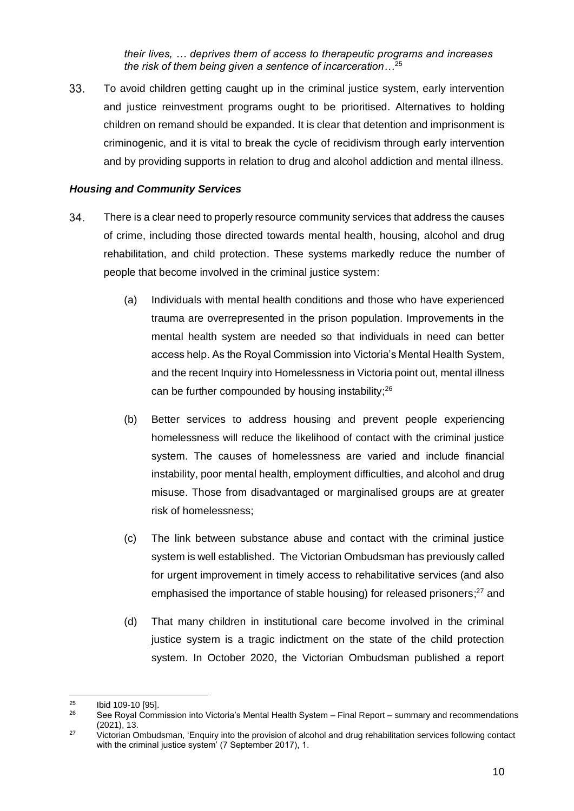*their lives, … deprives them of access to therapeutic programs and increases the risk of them being given a sentence of incarceration…*<sup>25</sup>

33. To avoid children getting caught up in the criminal justice system, early intervention and justice reinvestment programs ought to be prioritised. Alternatives to holding children on remand should be expanded. It is clear that detention and imprisonment is criminogenic, and it is vital to break the cycle of recidivism through early intervention and by providing supports in relation to drug and alcohol addiction and mental illness.

#### *Housing and Community Services*

- 34. There is a clear need to properly resource community services that address the causes of crime, including those directed towards mental health, housing, alcohol and drug rehabilitation, and child protection. These systems markedly reduce the number of people that become involved in the criminal justice system:
	- (a) Individuals with mental health conditions and those who have experienced trauma are overrepresented in the prison population. Improvements in the mental health system are needed so that individuals in need can better access help. As the Royal Commission into Victoria's Mental Health System, and the recent Inquiry into Homelessness in Victoria point out, mental illness can be further compounded by housing instability; $^{26}$
	- (b) Better services to address housing and prevent people experiencing homelessness will reduce the likelihood of contact with the criminal justice system. The causes of homelessness are varied and include financial instability, poor mental health, employment difficulties, and alcohol and drug misuse. Those from disadvantaged or marginalised groups are at greater risk of homelessness;
	- (c) The link between substance abuse and contact with the criminal justice system is well established. The Victorian Ombudsman has previously called for urgent improvement in timely access to rehabilitative services (and also emphasised the importance of stable housing) for released prisoners;<sup>27</sup> and
	- (d) That many children in institutional care become involved in the criminal justice system is a tragic indictment on the state of the child protection system. In October 2020, the Victorian Ombudsman published a report

 $^{25}$  Ibid 109-10 [95].

<sup>26</sup> See Royal Commission into Victoria's Mental Health System – Final Report – summary and recommendations (2021), 13.

<sup>27</sup> Victorian Ombudsman, 'Enquiry into the provision of alcohol and drug rehabilitation services following contact with the criminal justice system' (7 September 2017), 1.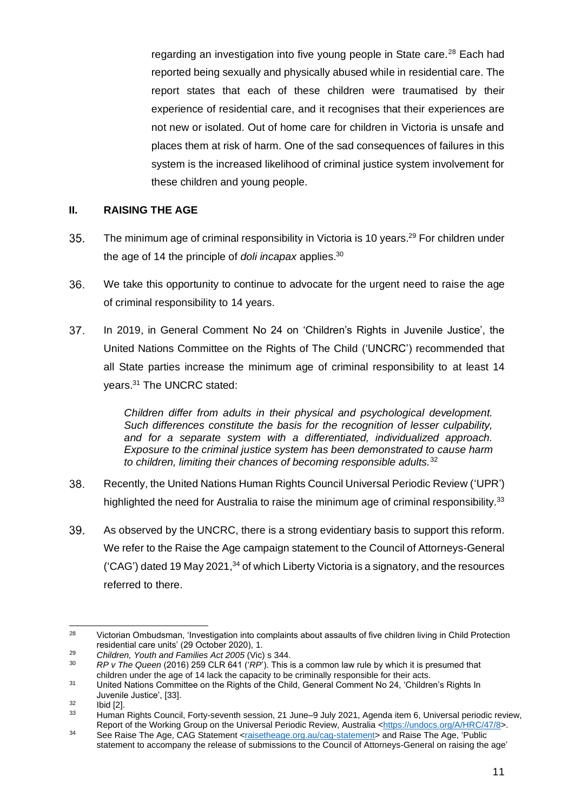regarding an investigation into five young people in State care.<sup>28</sup> Each had reported being sexually and physically abused while in residential care. The report states that each of these children were traumatised by their experience of residential care, and it recognises that their experiences are not new or isolated. Out of home care for children in Victoria is unsafe and places them at risk of harm. One of the sad consequences of failures in this system is the increased likelihood of criminal justice system involvement for these children and young people.

#### **II. RAISING THE AGE**

- 35. The minimum age of criminal responsibility in Victoria is 10 years.<sup>29</sup> For children under the age of 14 the principle of *doli incapax* applies.<sup>30</sup>
- 36. We take this opportunity to continue to advocate for the urgent need to raise the age of criminal responsibility to 14 years.
- 37. In 2019, in General Comment No 24 on 'Children's Rights in Juvenile Justice', the United Nations Committee on the Rights of The Child ('UNCRC') recommended that all State parties increase the minimum age of criminal responsibility to at least 14 years.<sup>31</sup> The UNCRC stated:

*Children differ from adults in their physical and psychological development. Such differences constitute the basis for the recognition of lesser culpability, and for a separate system with a differentiated, individualized approach. Exposure to the criminal justice system has been demonstrated to cause harm to children, limiting their chances of becoming responsible adults.*<sup>32</sup>

- 38. Recently, the United Nations Human Rights Council Universal Periodic Review ('UPR') highlighted the need for Australia to raise the minimum age of criminal responsibility.<sup>33</sup>
- 39. As observed by the UNCRC, there is a strong evidentiary basis to support this reform. We refer to the Raise the Age campaign statement to the Council of Attorneys-General  $(CAG')$  dated 19 May 2021,  $34$  of which Liberty Victoria is a signatory, and the resources referred to there.

<sup>&</sup>lt;sup>28</sup> Victorian Ombudsman, 'Investigation into complaints about assaults of five children living in Child Protection residential care units' (29 October 2020), 1.

<sup>29</sup> *Children, Youth and Families Act 2005* (Vic) s 344.

<sup>30</sup> *RP v The Queen* (2016) 259 CLR 641 ('*RP*'). This is a common law rule by which it is presumed that children under the age of 14 lack the capacity to be criminally responsible for their acts.

<sup>&</sup>lt;sup>31</sup> United Nations Committee on the Rights of the Child, General Comment No 24, 'Children's Rights In Juvenile Justice', [33].

 $rac{32}{33}$  Ibid [2].

<sup>33</sup> Human Rights Council, Forty-seventh session, 21 June–9 July 2021, Agenda item 6, Universal periodic review, Report of the Working Group on the Universal Periodic Review, Australia [<https://undocs.org/A/HRC/47/8>](https://undocs.org/A/HRC/47/8).

<sup>34</sup> See Raise The Age, CAG Statement [<raisetheage.org.au/cag-statement>](http://raisetheage.org.au/cag-statement) and Raise The Age, 'Public statement to accompany the release of submissions to the Council of Attorneys-General on raising the age'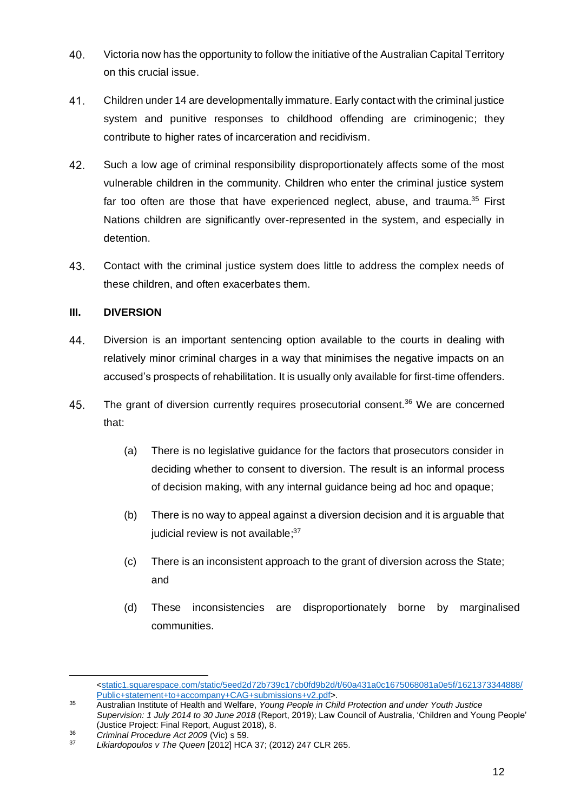- Victoria now has the opportunity to follow the initiative of the Australian Capital Territory 40. on this crucial issue.
- 41. Children under 14 are developmentally immature. Early contact with the criminal justice system and punitive responses to childhood offending are criminogenic; they contribute to higher rates of incarceration and recidivism.
- 42. Such a low age of criminal responsibility disproportionately affects some of the most vulnerable children in the community. Children who enter the criminal justice system far too often are those that have experienced neglect, abuse, and trauma.<sup>35</sup> First Nations children are significantly over-represented in the system, and especially in detention.
- Contact with the criminal justice system does little to address the complex needs of 43. these children, and often exacerbates them.

## **III. DIVERSION**

- 44. Diversion is an important sentencing option available to the courts in dealing with relatively minor criminal charges in a way that minimises the negative impacts on an accused's prospects of rehabilitation. It is usually only available for first-time offenders.
- 45. The grant of diversion currently requires prosecutorial consent.<sup>36</sup> We are concerned that:
	- (a) There is no legislative guidance for the factors that prosecutors consider in deciding whether to consent to diversion. The result is an informal process of decision making, with any internal guidance being ad hoc and opaque;
	- (b) There is no way to appeal against a diversion decision and it is arguable that judicial review is not available;<sup>37</sup>
	- (c) There is an inconsistent approach to the grant of diversion across the State; and
	- (d) These inconsistencies are disproportionately borne by marginalised communities.

[<sup>&</sup>lt;static1.squarespace.com/static/5eed2d72b739c17cb0fd9b2d/t/60a431a0c1675068081a0e5f/1621373344888/](http://static1.squarespace.com/static/5eed2d72b739c17cb0fd9b2d/t/60a431a0c1675068081a0e5f/1621373344888/Public+statement+to+accompany+CAG+submissions+v2.pdf) [Public+statement+to+accompany+CAG+submissions+v2.pdf>](http://static1.squarespace.com/static/5eed2d72b739c17cb0fd9b2d/t/60a431a0c1675068081a0e5f/1621373344888/Public+statement+to+accompany+CAG+submissions+v2.pdf).

<sup>35</sup> Australian Institute of Health and Welfare, *Young People in Child Protection and under Youth Justice Supervision: 1 July 2014 to 30 June 2018* (Report, 2019); Law Council of Australia, 'Children and Young People' (Justice Project: Final Report, August 2018), 8.

<sup>36</sup> *Criminal Procedure Act 2009* (Vic) s 59.

<sup>37</sup> *Likiardopoulos v The Queen* [2012] HCA 37; (2012) 247 CLR 265.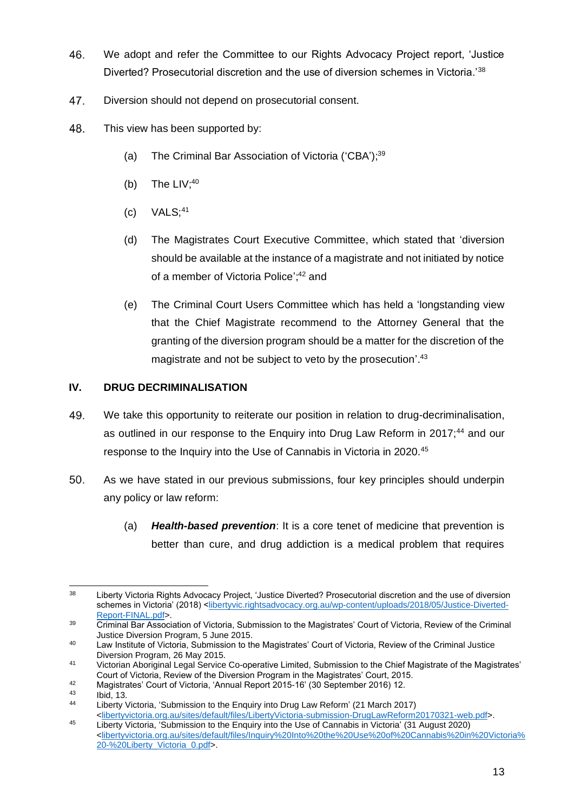- We adopt and refer the Committee to our Rights Advocacy Project report, 'Justice 46. Diverted? Prosecutorial discretion and the use of diversion schemes in Victoria.'<sup>38</sup>
- 47. Diversion should not depend on prosecutorial consent.
- 48. This view has been supported by:
	- (a) The Criminal Bar Association of Victoria ('CBA');<sup>39</sup>
	- (b) The  $LIV;^{40}$
	- $(c)$  VALS;<sup>41</sup>
	- (d) The Magistrates Court Executive Committee, which stated that 'diversion should be available at the instance of a magistrate and not initiated by notice of a member of Victoria Police';<sup>42</sup> and
	- (e) The Criminal Court Users Committee which has held a 'longstanding view that the Chief Magistrate recommend to the Attorney General that the granting of the diversion program should be a matter for the discretion of the magistrate and not be subject to veto by the prosecution'.<sup>43</sup>

## **IV. DRUG DECRIMINALISATION**

- 49. We take this opportunity to reiterate our position in relation to drug-decriminalisation, as outlined in our response to the Enquiry into Drug Law Reform in 2017;<sup>44</sup> and our response to the Inquiry into the Use of Cannabis in Victoria in 2020.<sup>45</sup>
- 50. As we have stated in our previous submissions, four key principles should underpin any policy or law reform:
	- (a) *Health-based prevention*: It is a core tenet of medicine that prevention is better than cure, and drug addiction is a medical problem that requires

<sup>&</sup>lt;sup>38</sup> Liberty Victoria Rights Advocacy Project, 'Justice Diverted? Prosecutorial discretion and the use of diversion schemes in Victoria' (2018) [<libertyvic.rightsadvocacy.org.au/wp-content/uploads/2018/05/Justice-Diverted-](http://libertyvic.rightsadvocacy.org.au/wp-content/uploads/2018/05/Justice-Diverted-Report-FINAL.pdf)[Report-FINAL.pdf>](http://libertyvic.rightsadvocacy.org.au/wp-content/uploads/2018/05/Justice-Diverted-Report-FINAL.pdf).

<sup>&</sup>lt;sup>39</sup> Criminal Bar Association of Victoria, Submission to the Magistrates' Court of Victoria, Review of the Criminal Justice Diversion Program, 5 June 2015.

<sup>40</sup> Law Institute of Victoria, Submission to the Magistrates' Court of Victoria, Review of the Criminal Justice Diversion Program, 26 May 2015.

<sup>41</sup> Victorian Aboriginal Legal Service Co-operative Limited, Submission to the Chief Magistrate of the Magistrates' Court of Victoria, Review of the Diversion Program in the Magistrates' Court, 2015.

<sup>42</sup> Magistrates' Court of Victoria, 'Annual Report 2015-16' (30 September 2016) 12.

 $\begin{array}{ccc} 43 & \text{lbid, 13.} \\ 44 & \text{libortiv.} \end{array}$ 

Liberty Victoria, 'Submission to the Enquiry into Drug Law Reform' (21 March 2017) [<libertyvictoria.org.au/sites/default/files/LibertyVictoria-submission-DrugLawReform20170321-web.pdf>](http://libertyvictoria.org.au/sites/default/files/LibertyVictoria-submission-DrugLawReform20170321-web.pdf).

<sup>45</sup> Liberty Victoria, 'Submission to the Enquiry into the Use of Cannabis in Victoria' (31 August 2020) [<libertyvictoria.org.au/sites/default/files/Inquiry%20Into%20the%20Use%20of%20Cannabis%20in%20Victoria%](http://libertyvictoria.org.au/sites/default/files/Inquiry%20Into%20the%20Use%20of%20Cannabis%20in%20Victoria%20-%20Liberty_Victoria_0.pdf) [20-%20Liberty\\_Victoria\\_0.pdf>](http://libertyvictoria.org.au/sites/default/files/Inquiry%20Into%20the%20Use%20of%20Cannabis%20in%20Victoria%20-%20Liberty_Victoria_0.pdf).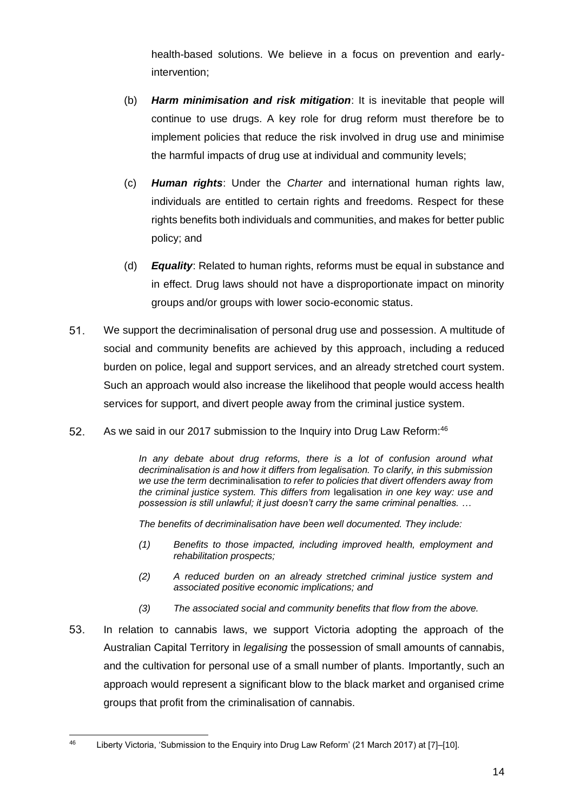health-based solutions. We believe in a focus on prevention and earlyintervention;

- (b) *Harm minimisation and risk mitigation*: It is inevitable that people will continue to use drugs. A key role for drug reform must therefore be to implement policies that reduce the risk involved in drug use and minimise the harmful impacts of drug use at individual and community levels;
- (c) *Human rights*: Under the *Charter* and international human rights law, individuals are entitled to certain rights and freedoms. Respect for these rights benefits both individuals and communities, and makes for better public policy; and
- (d) *Equality*: Related to human rights, reforms must be equal in substance and in effect. Drug laws should not have a disproportionate impact on minority groups and/or groups with lower socio-economic status.
- 51. We support the decriminalisation of personal drug use and possession. A multitude of social and community benefits are achieved by this approach, including a reduced burden on police, legal and support services, and an already stretched court system. Such an approach would also increase the likelihood that people would access health services for support, and divert people away from the criminal justice system.
- 52. As we said in our 2017 submission to the Inquiry into Drug Law Reform:<sup>46</sup>

*In any debate about drug reforms, there is a lot of confusion around what decriminalisation is and how it differs from legalisation. To clarify, in this submission we use the term* decriminalisation *to refer to policies that divert offenders away from the criminal justice system. This differs from* legalisation *in one key way: use and possession is still unlawful; it just doesn't carry the same criminal penalties. …*

*The benefits of decriminalisation have been well documented. They include:*

- *(1) Benefits to those impacted, including improved health, employment and rehabilitation prospects;*
- *(2) A reduced burden on an already stretched criminal justice system and associated positive economic implications; and*
- *(3) The associated social and community benefits that flow from the above.*
- 53. In relation to cannabis laws, we support Victoria adopting the approach of the Australian Capital Territory in *legalising* the possession of small amounts of cannabis, and the cultivation for personal use of a small number of plants. Importantly, such an approach would represent a significant blow to the black market and organised crime groups that profit from the criminalisation of cannabis.

<sup>46</sup> Liberty Victoria, 'Submission to the Enquiry into Drug Law Reform' (21 March 2017) at [7]–[10].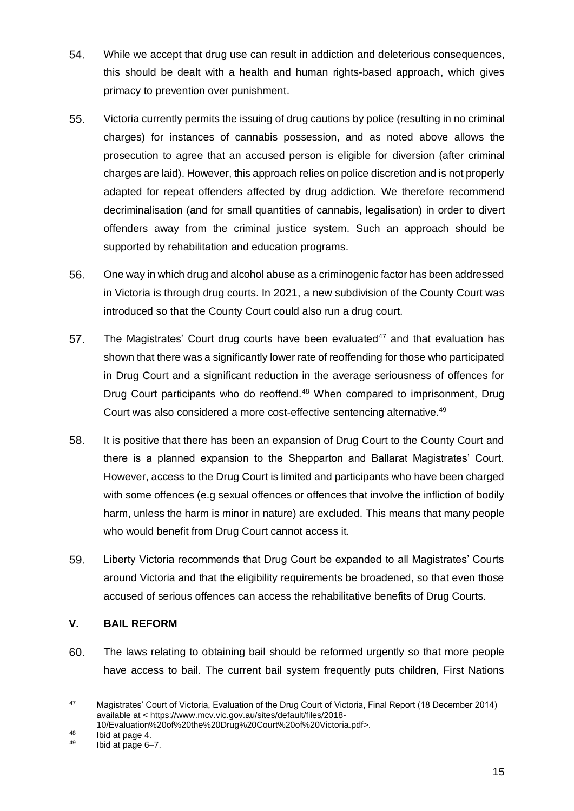- 54. While we accept that drug use can result in addiction and deleterious consequences, this should be dealt with a health and human rights-based approach, which gives primacy to prevention over punishment.
- 55. Victoria currently permits the issuing of drug cautions by police (resulting in no criminal charges) for instances of cannabis possession, and as noted above allows the prosecution to agree that an accused person is eligible for diversion (after criminal charges are laid). However, this approach relies on police discretion and is not properly adapted for repeat offenders affected by drug addiction. We therefore recommend decriminalisation (and for small quantities of cannabis, legalisation) in order to divert offenders away from the criminal justice system. Such an approach should be supported by rehabilitation and education programs.
- 56. One way in which drug and alcohol abuse as a criminogenic factor has been addressed in Victoria is through drug courts. In 2021, a new subdivision of the County Court was introduced so that the County Court could also run a drug court.
- 57. The Magistrates' Court drug courts have been evaluated<sup>47</sup> and that evaluation has shown that there was a significantly lower rate of reoffending for those who participated in Drug Court and a significant reduction in the average seriousness of offences for Drug Court participants who do reoffend.<sup>48</sup> When compared to imprisonment, Drug Court was also considered a more cost-effective sentencing alternative.<sup>49</sup>
- 58. It is positive that there has been an expansion of Drug Court to the County Court and there is a planned expansion to the Shepparton and Ballarat Magistrates' Court. However, access to the Drug Court is limited and participants who have been charged with some offences (e.g sexual offences or offences that involve the infliction of bodily harm, unless the harm is minor in nature) are excluded. This means that many people who would benefit from Drug Court cannot access it.
- 59. Liberty Victoria recommends that Drug Court be expanded to all Magistrates' Courts around Victoria and that the eligibility requirements be broadened, so that even those accused of serious offences can access the rehabilitative benefits of Drug Courts.

## **V. BAIL REFORM**

60. The laws relating to obtaining bail should be reformed urgently so that more people have access to bail. The current bail system frequently puts children, First Nations

<sup>47</sup> Magistrates' Court of Victoria, Evaluation of the Drug Court of Victoria, Final Report (18 December 2014) available at < https://www.mcv.vic.gov.au/sites/default/files/2018-

<sup>10/</sup>Evaluation%20of%20the%20Drug%20Court%20of%20Victoria.pdf>.

 $^{48}$  Ibid at page 4.<br> $^{49}$  Ibid at page 6-

<sup>49</sup> Ibid at page 6–7.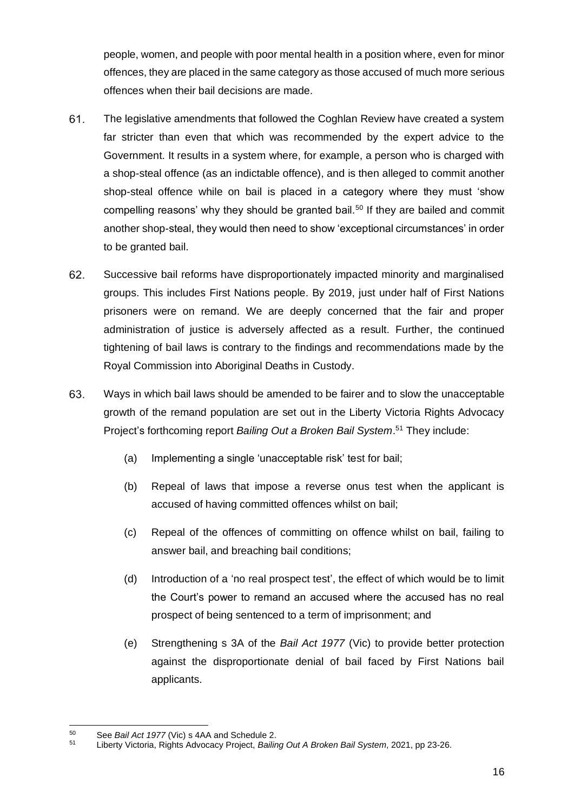people, women, and people with poor mental health in a position where, even for minor offences, they are placed in the same category as those accused of much more serious offences when their bail decisions are made.

- 61. The legislative amendments that followed the Coghlan Review have created a system far stricter than even that which was recommended by the expert advice to the Government. It results in a system where, for example, a person who is charged with a shop-steal offence (as an indictable offence), and is then alleged to commit another shop-steal offence while on bail is placed in a category where they must 'show compelling reasons' why they should be granted bail.<sup>50</sup> If they are bailed and commit another shop-steal, they would then need to show 'exceptional circumstances' in order to be granted bail.
- 62. Successive bail reforms have disproportionately impacted minority and marginalised groups. This includes First Nations people. By 2019, just under half of First Nations prisoners were on remand. We are deeply concerned that the fair and proper administration of justice is adversely affected as a result. Further, the continued tightening of bail laws is contrary to the findings and recommendations made by the Royal Commission into Aboriginal Deaths in Custody.
- 63. Ways in which bail laws should be amended to be fairer and to slow the unacceptable growth of the remand population are set out in the Liberty Victoria Rights Advocacy Project's forthcoming report *Bailing Out a Broken Bail System*. <sup>51</sup> They include:
	- (a) Implementing a single 'unacceptable risk' test for bail;
	- (b) Repeal of laws that impose a reverse onus test when the applicant is accused of having committed offences whilst on bail;
	- (c) Repeal of the offences of committing on offence whilst on bail, failing to answer bail, and breaching bail conditions;
	- (d) Introduction of a 'no real prospect test', the effect of which would be to limit the Court's power to remand an accused where the accused has no real prospect of being sentenced to a term of imprisonment; and
	- (e) Strengthening s 3A of the *Bail Act 1977* (Vic) to provide better protection against the disproportionate denial of bail faced by First Nations bail applicants.

<sup>50</sup> See *Bail Act 1977* (Vic) s 4AA and Schedule 2.

<sup>51</sup> Liberty Victoria, Rights Advocacy Project, *Bailing Out A Broken Bail System*, 2021, pp 23-26.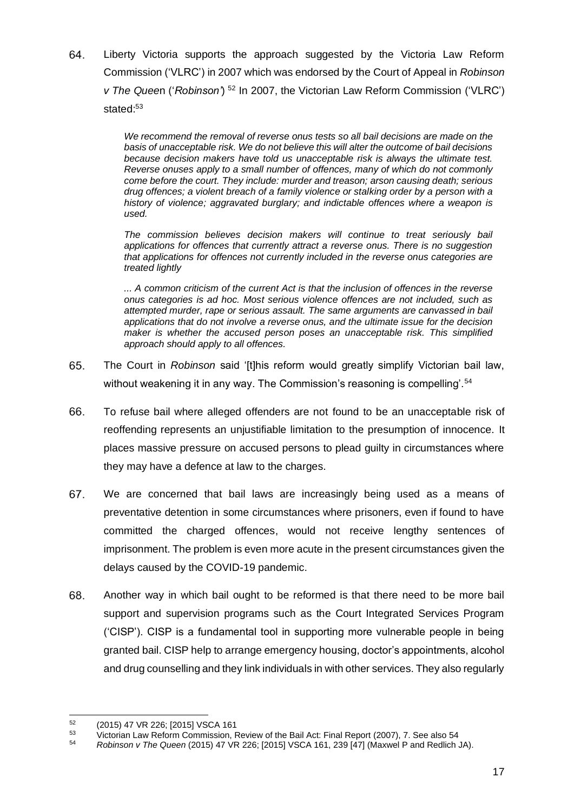64. Liberty Victoria supports the approach suggested by the Victoria Law Reform Commission ('VLRC') in 2007 which was endorsed by the Court of Appeal in *Robinson v The Quee*n ('*Robinson'*) <sup>52</sup> In 2007, the Victorian Law Reform Commission ('VLRC') stated:<sup>53</sup>

> *We recommend the removal of reverse onus tests so all bail decisions are made on the basis of unacceptable risk. We do not believe this will alter the outcome of bail decisions because decision makers have told us unacceptable risk is always the ultimate test. Reverse onuses apply to a small number of offences, many of which do not commonly come before the court. They include: murder and treason; arson causing death; serious drug offences; a violent breach of a family violence or stalking order by a person with a history of violence; aggravated burglary; and indictable offences where a weapon is used.*

> *The commission believes decision makers will continue to treat seriously bail applications for offences that currently attract a reverse onus. There is no suggestion that applications for offences not currently included in the reverse onus categories are treated lightly*

> *... A common criticism of the current Act is that the inclusion of offences in the reverse onus categories is ad hoc. Most serious violence offences are not included, such as attempted murder, rape or serious assault. The same arguments are canvassed in bail applications that do not involve a reverse onus, and the ultimate issue for the decision maker is whether the accused person poses an unacceptable risk. This simplified approach should apply to all offences.*

- 65. The Court in *Robinson* said '[t]his reform would greatly simplify Victorian bail law, without weakening it in any way. The Commission's reasoning is compelling'.<sup>54</sup>
- 66. To refuse bail where alleged offenders are not found to be an unacceptable risk of reoffending represents an unjustifiable limitation to the presumption of innocence. It places massive pressure on accused persons to plead guilty in circumstances where they may have a defence at law to the charges.
- 67. We are concerned that bail laws are increasingly being used as a means of preventative detention in some circumstances where prisoners, even if found to have committed the charged offences, would not receive lengthy sentences of imprisonment. The problem is even more acute in the present circumstances given the delays caused by the COVID-19 pandemic.
- 68. Another way in which bail ought to be reformed is that there need to be more bail support and supervision programs such as the Court Integrated Services Program ('CISP'). CISP is a fundamental tool in supporting more vulnerable people in being granted bail. CISP help to arrange emergency housing, doctor's appointments, alcohol and drug counselling and they link individuals in with other services. They also regularly

<sup>52</sup>  $^{52}$  (2015) 47 VR 226; [2015] VSCA 161

 $53$  Victorian Law Reform Commission, Review of the Bail Act: Final Report (2007), 7. See also 54<br> $54$  Robinson v The Queen (2015) 47 VR 226: [2015] VSCA 161, 239 [47] (Maxwel P and Redlich

<sup>54</sup> *Robinson v The Queen* (2015) 47 VR 226; [2015] VSCA 161, 239 [47] (Maxwel P and Redlich JA).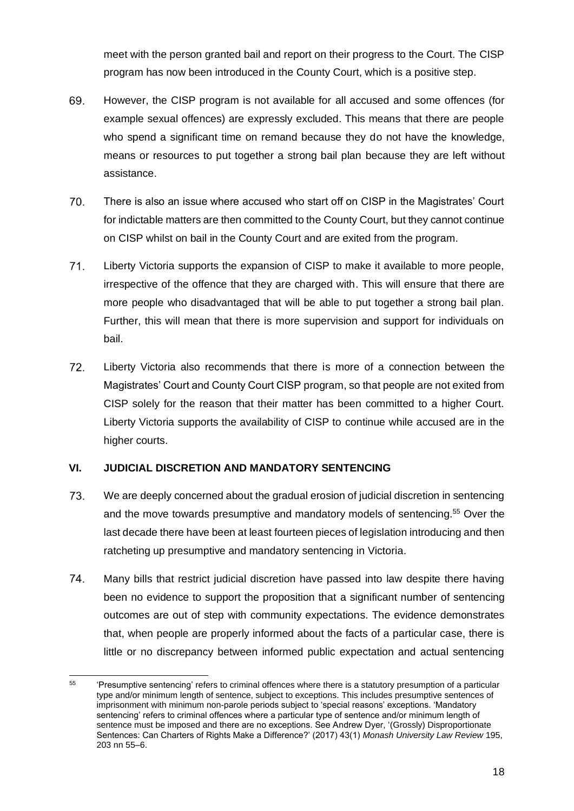meet with the person granted bail and report on their progress to the Court. The CISP program has now been introduced in the County Court, which is a positive step.

- 69. However, the CISP program is not available for all accused and some offences (for example sexual offences) are expressly excluded. This means that there are people who spend a significant time on remand because they do not have the knowledge, means or resources to put together a strong bail plan because they are left without assistance.
- 70. There is also an issue where accused who start off on CISP in the Magistrates' Court for indictable matters are then committed to the County Court, but they cannot continue on CISP whilst on bail in the County Court and are exited from the program.
- 71. Liberty Victoria supports the expansion of CISP to make it available to more people, irrespective of the offence that they are charged with. This will ensure that there are more people who disadvantaged that will be able to put together a strong bail plan. Further, this will mean that there is more supervision and support for individuals on bail.
- 72. Liberty Victoria also recommends that there is more of a connection between the Magistrates' Court and County Court CISP program, so that people are not exited from CISP solely for the reason that their matter has been committed to a higher Court. Liberty Victoria supports the availability of CISP to continue while accused are in the higher courts.

## **VI. JUDICIAL DISCRETION AND MANDATORY SENTENCING**

- 73. We are deeply concerned about the gradual erosion of judicial discretion in sentencing and the move towards presumptive and mandatory models of sentencing.<sup>55</sup> Over the last decade there have been at least fourteen pieces of legislation introducing and then ratcheting up presumptive and mandatory sentencing in Victoria.
- 74. Many bills that restrict judicial discretion have passed into law despite there having been no evidence to support the proposition that a significant number of sentencing outcomes are out of step with community expectations. The evidence demonstrates that, when people are properly informed about the facts of a particular case, there is little or no discrepancy between informed public expectation and actual sentencing

<sup>&</sup>lt;sup>55</sup> 'Presumptive sentencing' refers to criminal offences where there is a statutory presumption of a particular type and/or minimum length of sentence, subject to exceptions. This includes presumptive sentences of imprisonment with minimum non-parole periods subject to 'special reasons' exceptions. 'Mandatory sentencing' refers to criminal offences where a particular type of sentence and/or minimum length of sentence must be imposed and there are no exceptions. See Andrew Dyer, '(Grossly) Disproportionate Sentences: Can Charters of Rights Make a Difference?' (2017) 43(1) *Monash University Law Review* 195, 203 nn 55–6.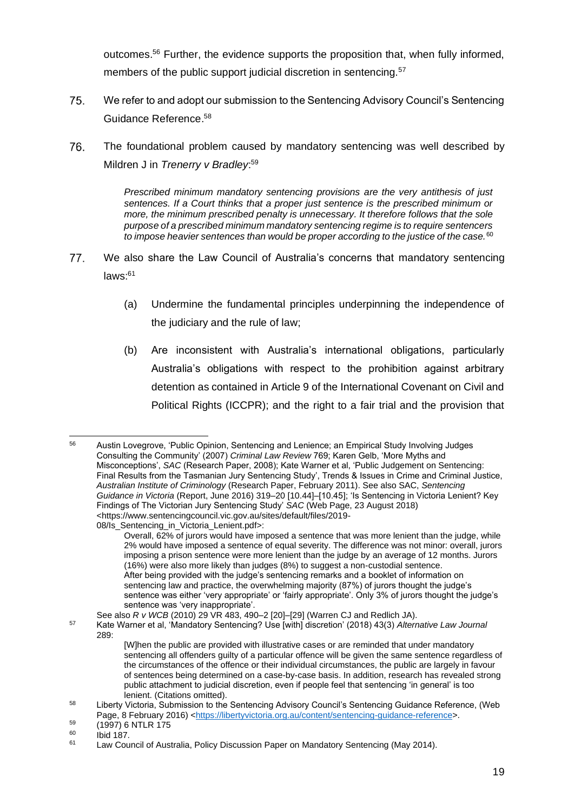outcomes.<sup>56</sup> Further, the evidence supports the proposition that, when fully informed, members of the public support judicial discretion in sentencing.<sup>57</sup>

- 75. We refer to and adopt our submission to the Sentencing Advisory Council's Sentencing Guidance Reference. 58
- 76. The foundational problem caused by mandatory sentencing was well described by Mildren J in *Trenerry v Bradley*: 59

*Prescribed minimum mandatory sentencing provisions are the very antithesis of just sentences. If a Court thinks that a proper just sentence is the prescribed minimum or more, the minimum prescribed penalty is unnecessary. It therefore follows that the sole purpose of a prescribed minimum mandatory sentencing regime is to require sentencers to impose heavier sentences than would be proper according to the justice of the case.*<sup>60</sup>

- 77. We also share the Law Council of Australia's concerns that mandatory sentencing laws: 61
	- (a) Undermine the fundamental principles underpinning the independence of the judiciary and the rule of law;
	- (b) Are inconsistent with Australia's international obligations, particularly Australia's obligations with respect to the prohibition against arbitrary detention as contained in Article 9 of the International Covenant on Civil and Political Rights (ICCPR); and the right to a fair trial and the provision that

<sup>56</sup> Austin Lovegrove, 'Public Opinion, Sentencing and Lenience; an Empirical Study Involving Judges Consulting the Community' (2007) *Criminal Law Review* 769; Karen Gelb, 'More Myths and Misconceptions', *SAC* (Research Paper, 2008); Kate Warner et al, 'Public Judgement on Sentencing: Final Results from the Tasmanian Jury Sentencing Study', Trends & Issues in Crime and Criminal Justice, *Australian Institute of Criminology* (Research Paper, February 2011). See also SAC, *Sentencing Guidance in Victoria* (Report, June 2016) 319–20 [10.44]–[10.45]; 'Is Sentencing in Victoria Lenient? Key Findings of The Victorian Jury Sentencing Study' *SAC* (Web Page, 23 August 2018) <https://www.sentencingcouncil.vic.gov.au/sites/default/files/2019- 08/Is Sentencing in Victoria Lenient.pdf>:

Overall, 62% of jurors would have imposed a sentence that was more lenient than the judge, while 2% would have imposed a sentence of equal severity. The difference was not minor: overall, jurors imposing a prison sentence were more lenient than the judge by an average of 12 months. Jurors (16%) were also more likely than judges (8%) to suggest a non-custodial sentence. After being provided with the judge's sentencing remarks and a booklet of information on sentencing law and practice, the overwhelming majority (87%) of jurors thought the judge's sentence was either 'very appropriate' or 'fairly appropriate'. Only 3% of jurors thought the judge's sentence was 'very inappropriate'.

See also *R v WCB* (2010) 29 VR 483, 490–2 [20]–[29] (Warren CJ and Redlich JA).

<sup>57</sup> Kate Warner et al, 'Mandatory Sentencing? Use [with] discretion' (2018) 43(3) *Alternative Law Journal* 289:

<sup>[</sup>W]hen the public are provided with illustrative cases or are reminded that under mandatory sentencing all offenders guilty of a particular offence will be given the same sentence regardless of the circumstances of the offence or their individual circumstances, the public are largely in favour of sentences being determined on a case-by-case basis. In addition, research has revealed strong public attachment to judicial discretion, even if people feel that sentencing 'in general' is too lenient. (Citations omitted).

<sup>58</sup> Liberty Victoria, Submission to the Sentencing Advisory Council's Sentencing Guidance Reference, (Web Page, 8 February 2016) [<https://libertyvictoria.org.au/content/sentencing-guidance-reference>](https://libertyvictoria.org.au/content/sentencing-guidance-reference).

 $^{59}$  (1997) 6 NTLR 175<br> $^{59}$  (1997) 6 NTLR 175

 $^{60}$  Ibid 187.

Law Council of Australia, Policy Discussion Paper on Mandatory Sentencing (May 2014).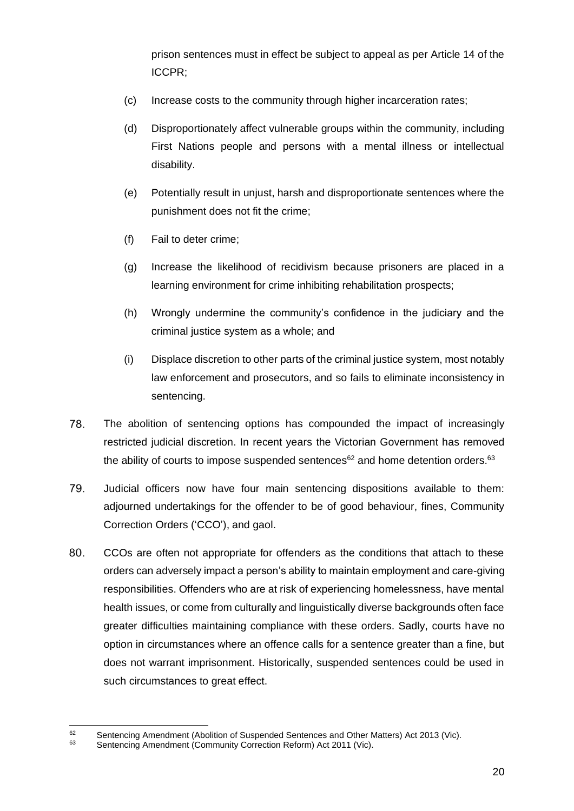prison sentences must in effect be subject to appeal as per Article 14 of the ICCPR;

- (c) Increase costs to the community through higher incarceration rates;
- (d) Disproportionately affect vulnerable groups within the community, including First Nations people and persons with a mental illness or intellectual disability.
- (e) Potentially result in unjust, harsh and disproportionate sentences where the punishment does not fit the crime;
- (f) Fail to deter crime;
- (g) Increase the likelihood of recidivism because prisoners are placed in a learning environment for crime inhibiting rehabilitation prospects;
- (h) Wrongly undermine the community's confidence in the judiciary and the criminal justice system as a whole; and
- (i) Displace discretion to other parts of the criminal justice system, most notably law enforcement and prosecutors, and so fails to eliminate inconsistency in sentencing.
- 78. The abolition of sentencing options has compounded the impact of increasingly restricted judicial discretion. In recent years the Victorian Government has removed the ability of courts to impose suspended sentences $62$  and home detention orders. $63$
- 79. Judicial officers now have four main sentencing dispositions available to them: adjourned undertakings for the offender to be of good behaviour, fines, Community Correction Orders ('CCO'), and gaol.
- 80. CCOs are often not appropriate for offenders as the conditions that attach to these orders can adversely impact a person's ability to maintain employment and care-giving responsibilities. Offenders who are at risk of experiencing homelessness, have mental health issues, or come from culturally and linguistically diverse backgrounds often face greater difficulties maintaining compliance with these orders. Sadly, courts have no option in circumstances where an offence calls for a sentence greater than a fine, but does not warrant imprisonment. Historically, suspended sentences could be used in such circumstances to great effect.

<sup>62</sup> Sentencing Amendment (Abolition of Suspended Sentences and Other Matters) Act 2013 (Vic).<br>63 Sentencing Amendment (Community Correction Reform) Act 2011 (Vic)

Sentencing Amendment (Community Correction Reform) Act 2011 (Vic).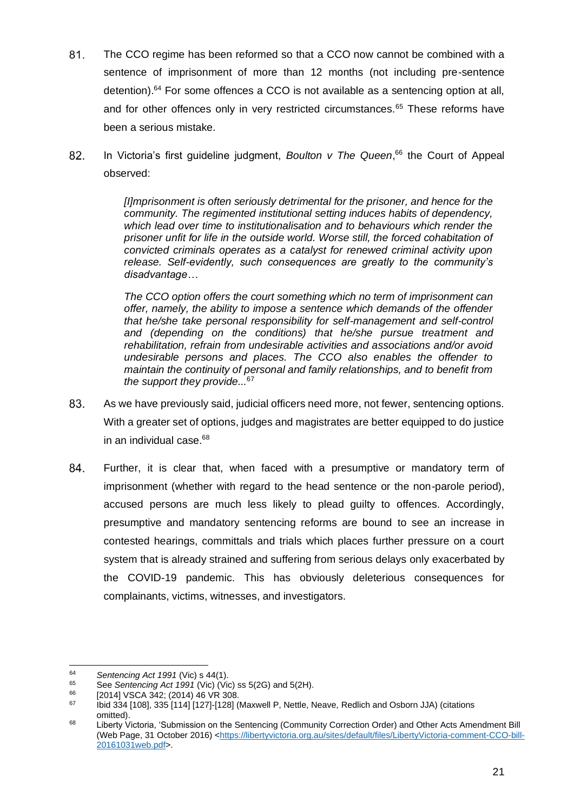- 81. The CCO regime has been reformed so that a CCO now cannot be combined with a sentence of imprisonment of more than 12 months (not including pre-sentence detention). <sup>64</sup> For some offences a CCO is not available as a sentencing option at all, and for other offences only in very restricted circumstances.<sup>65</sup> These reforms have been a serious mistake.
- 82. In Victoria's first guideline judgment, *Boulton v The Queen*, <sup>66</sup> the Court of Appeal observed:

*[I]mprisonment is often seriously detrimental for the prisoner, and hence for the community. The regimented institutional setting induces habits of dependency, which lead over time to institutionalisation and to behaviours which render the prisoner unfit for life in the outside world. Worse still, the forced cohabitation of convicted criminals operates as a catalyst for renewed criminal activity upon release. Self-evidently, such consequences are greatly to the community's disadvantage…* 

*The CCO option offers the court something which no term of imprisonment can offer, namely, the ability to impose a sentence which demands of the offender that he/she take personal responsibility for self-management and self-control and (depending on the conditions) that he/she pursue treatment and rehabilitation, refrain from undesirable activities and associations and/or avoid undesirable persons and places. The CCO also enables the offender to maintain the continuity of personal and family relationships, and to benefit from the support they provide...*<sup>67</sup>

- 83. As we have previously said, judicial officers need more, not fewer, sentencing options. With a greater set of options, judges and magistrates are better equipped to do justice in an individual case.<sup>68</sup>
- 84. Further, it is clear that, when faced with a presumptive or mandatory term of imprisonment (whether with regard to the head sentence or the non-parole period), accused persons are much less likely to plead guilty to offences. Accordingly, presumptive and mandatory sentencing reforms are bound to see an increase in contested hearings, committals and trials which places further pressure on a court system that is already strained and suffering from serious delays only exacerbated by the COVID-19 pandemic. This has obviously deleterious consequences for complainants, victims, witnesses, and investigators.

<sup>64</sup> *Sentencing Act 1991* (Vic) s 44(1).

<sup>65</sup> See *Sentencing Act 1991* (Vic) (Vic) ss 5(2G) and 5(2H).

 $^{66}$  [2014] VSCA 342; (2014) 46 VR 308.<br> $^{67}$  kid 334 [108] 335 [114] [127] [128] (

Ibid 334 [108], 335 [114] [127]-[128] (Maxwell P, Nettle, Neave, Redlich and Osborn JJA) (citations omitted).

<sup>68</sup> Liberty Victoria, 'Submission on the Sentencing (Community Correction Order) and Other Acts Amendment Bill (Web Page, 31 October 2016) [<https://libertyvictoria.org.au/sites/default/files/LibertyVictoria-comment-CCO-bill-](https://libertyvictoria.org.au/sites/default/files/LibertyVictoria-comment-CCO-bill-20161031web.pdf)[20161031web.pdf>](https://libertyvictoria.org.au/sites/default/files/LibertyVictoria-comment-CCO-bill-20161031web.pdf).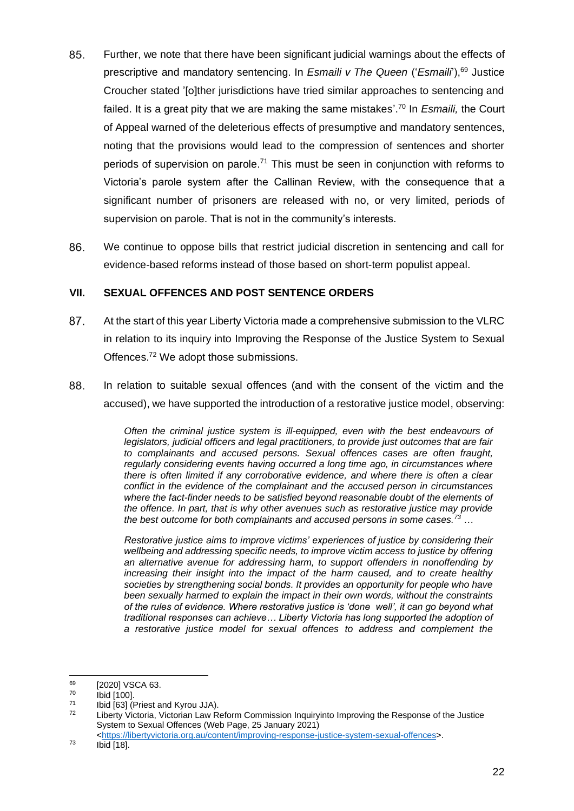- Further, we note that there have been significant judicial warnings about the effects of 85. prescriptive and mandatory sentencing. In *Esmaili v The Queen* ('*Esmaili*'), <sup>69</sup> Justice Croucher stated '[o]ther jurisdictions have tried similar approaches to sentencing and failed. It is a great pity that we are making the same mistakes'. <sup>70</sup> In *Esmaili,* the Court of Appeal warned of the deleterious effects of presumptive and mandatory sentences, noting that the provisions would lead to the compression of sentences and shorter periods of supervision on parole.<sup>71</sup> This must be seen in conjunction with reforms to Victoria's parole system after the Callinan Review, with the consequence that a significant number of prisoners are released with no, or very limited, periods of supervision on parole. That is not in the community's interests.
- 86. We continue to oppose bills that restrict judicial discretion in sentencing and call for evidence-based reforms instead of those based on short-term populist appeal.

## **VII. SEXUAL OFFENCES AND POST SENTENCE ORDERS**

- 87. At the start of this year Liberty Victoria made a comprehensive submission to the VLRC in relation to its inquiry into Improving the Response of the Justice System to Sexual Offences.<sup>72</sup> We adopt those submissions.
- 88. In relation to suitable sexual offences (and with the consent of the victim and the accused), we have supported the introduction of a restorative justice model, observing:

*Often the criminal justice system is ill-equipped, even with the best endeavours of legislators, judicial officers and legal practitioners, to provide just outcomes that are fair to complainants and accused persons. Sexual offences cases are often fraught, regularly considering events having occurred a long time ago, in circumstances where there is often limited if any corroborative evidence, and where there is often a clear conflict in the evidence of the complainant and the accused person in circumstances where the fact-finder needs to be satisfied beyond reasonable doubt of the elements of the offence. In part, that is why other avenues such as restorative justice may provide the best outcome for both complainants and accused persons in some cases.<sup>73</sup> …*

*Restorative justice aims to improve victims' experiences of justice by considering their wellbeing and addressing specific needs, to improve victim access to justice by offering an alternative avenue for addressing harm, to support offenders in nonoffending by increasing their insight into the impact of the harm caused, and to create healthy societies by strengthening social bonds. It provides an opportunity for people who have been sexually harmed to explain the impact in their own words, without the constraints of the rules of evidence. Where restorative justice is 'done well', it can go beyond what traditional responses can achieve… Liberty Victoria has long supported the adoption of a restorative justice model for sexual offences to address and complement the* 

 $^{69}$  [2020] VSCA 63.

 $^{70}$  Ibid [100].

 $^{71}$  Ibid [63] (Priest and Kyrou JJA).

Liberty Victoria, Victorian Law Reform Commission Inquiryinto Improving the Response of the Justice System to Sexual Offences (Web Page, 25 January 2021)

[<sup>&</sup>lt;https://libertyvictoria.org.au/content/improving-response-justice-system-sexual-offences>](https://libertyvictoria.org.au/content/improving-response-justice-system-sexual-offences).

 $^{73}$  Ibid [18].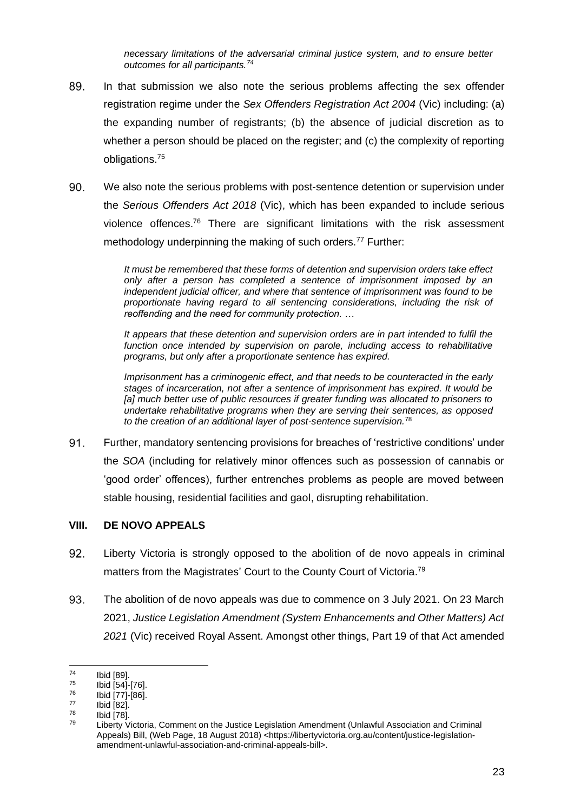*necessary limitations of the adversarial criminal justice system, and to ensure better outcomes for all participants.<sup>74</sup>*

- 89. In that submission we also note the serious problems affecting the sex offender registration regime under the *Sex Offenders Registration Act 2004* (Vic) including: (a) the expanding number of registrants; (b) the absence of judicial discretion as to whether a person should be placed on the register; and (c) the complexity of reporting obligations.<sup>75</sup>
- 90. We also note the serious problems with post-sentence detention or supervision under the *Serious Offenders Act 2018* (Vic), which has been expanded to include serious violence offences.<sup>76</sup> There are significant limitations with the risk assessment methodology underpinning the making of such orders.<sup>77</sup> Further:

*It must be remembered that these forms of detention and supervision orders take effect only after a person has completed a sentence of imprisonment imposed by an independent judicial officer, and where that sentence of imprisonment was found to be proportionate having regard to all sentencing considerations, including the risk of reoffending and the need for community protection. …* 

*It appears that these detention and supervision orders are in part intended to fulfil the function once intended by supervision on parole, including access to rehabilitative programs, but only after a proportionate sentence has expired.*

*Imprisonment has a criminogenic effect, and that needs to be counteracted in the early stages of incarceration, not after a sentence of imprisonment has expired. It would be [a] much better use of public resources if greater funding was allocated to prisoners to undertake rehabilitative programs when they are serving their sentences, as opposed to the creation of an additional layer of post-sentence supervision.*<sup>78</sup>

91. Further, mandatory sentencing provisions for breaches of 'restrictive conditions' under the *SOA* (including for relatively minor offences such as possession of cannabis or 'good order' offences), further entrenches problems as people are moved between stable housing, residential facilities and gaol, disrupting rehabilitation.

#### **VIII. DE NOVO APPEALS**

- 92. Liberty Victoria is strongly opposed to the abolition of de novo appeals in criminal matters from the Magistrates' Court to the County Court of Victoria.<sup>79</sup>
- 93. The abolition of de novo appeals was due to commence on 3 July 2021. On 23 March 2021, *Justice Legislation Amendment (System Enhancements and Other Matters) Act 2021* (Vic) received Royal Assent. Amongst other things, Part 19 of that Act amended

 $^{74}$  Ibid [89].

 $^{75}$  Ibid [54]-[76].

 $^{76}$  Ibid  $\overline{[77]}.[86]$ .

 $^{77}$  Ibid  $[82]$ .

 $\frac{78}{79}$  Ibid [78].

Liberty Victoria, Comment on the Justice Legislation Amendment (Unlawful Association and Criminal Appeals) Bill, (Web Page, 18 August 2018) <https://libertyvictoria.org.au/content/justice-legislationamendment-unlawful-association-and-criminal-appeals-bill>.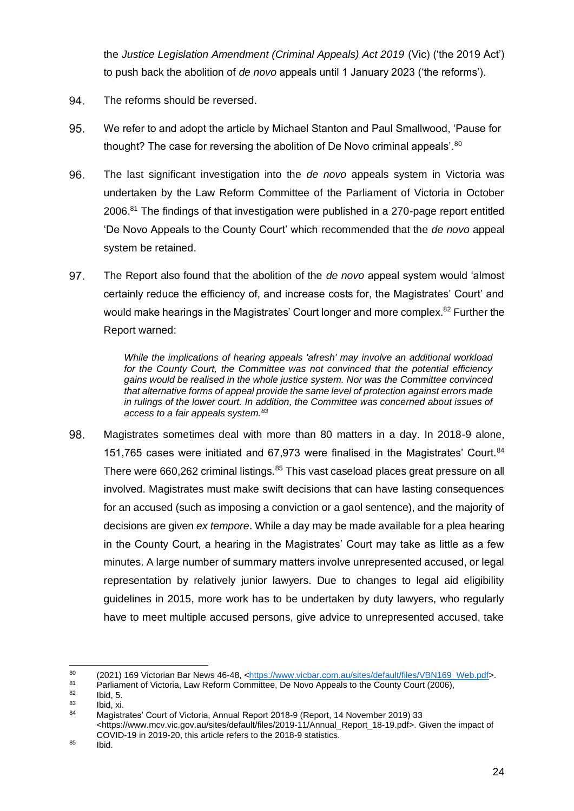the *Justice Legislation Amendment (Criminal Appeals) Act 2019* (Vic) ('the 2019 Act') to push back the abolition of *de novo* appeals until 1 January 2023 ('the reforms').

- 94. The reforms should be reversed.
- 95. We refer to and adopt the article by Michael Stanton and Paul Smallwood, 'Pause for thought? The case for reversing the abolition of De Novo criminal appeals'.<sup>80</sup>
- 96. The last significant investigation into the *de novo* appeals system in Victoria was undertaken by the Law Reform Committee of the Parliament of Victoria in October 2006.<sup>81</sup> The findings of that investigation were published in a 270-page report entitled 'De Novo Appeals to the County Court' which recommended that the *de novo* appeal system be retained.
- 97. The Report also found that the abolition of the *de novo* appeal system would 'almost certainly reduce the efficiency of, and increase costs for, the Magistrates' Court' and would make hearings in the Magistrates' Court longer and more complex.<sup>82</sup> Further the Report warned:

*While the implications of hearing appeals 'afresh' may involve an additional workload for the County Court, the Committee was not convinced that the potential efficiency gains would be realised in the whole justice system. Nor was the Committee convinced that alternative forms of appeal provide the same level of protection against errors made in rulings of the lower court. In addition, the Committee was concerned about issues of access to a fair appeals system.<sup>83</sup>*

98. Magistrates sometimes deal with more than 80 matters in a day. In 2018-9 alone, 151,765 cases were initiated and 67,973 were finalised in the Magistrates' Court.<sup>84</sup> There were 660,262 criminal listings.<sup>85</sup> This vast caseload places great pressure on all involved. Magistrates must make swift decisions that can have lasting consequences for an accused (such as imposing a conviction or a gaol sentence), and the majority of decisions are given *ex tempore*. While a day may be made available for a plea hearing in the County Court, a hearing in the Magistrates' Court may take as little as a few minutes. A large number of summary matters involve unrepresented accused, or legal representation by relatively junior lawyers. Due to changes to legal aid eligibility guidelines in 2015, more work has to be undertaken by duty lawyers, who regularly have to meet multiple accused persons, give advice to unrepresented accused, take

<sup>85</sup> Ibid.

<sup>80 (2021) 169</sup> Victorian Bar News 46-48, [<https://www.vicbar.com.au/sites/default/files/VBN169\\_Web.pdf>](https://www.vicbar.com.au/sites/default/files/VBN169_Web.pdf).<br>81 Declinment of Victoria Law Beform Committee, De Nave Anneals to the County Court (2006)

<sup>81</sup> Parliament of Victoria, Law Reform Committee, De Novo Appeals to the County Court (2006),

 $\begin{array}{cc}\n 82 \quad \text{lbid, 5.} \\
83 \quad \text{lbid, vi}\n \end{array}$ 

 $\begin{array}{cc}\n 83 \text{} & \text{Ibid, xi.} \\
\hline\n 84 \text{} & \text{Meaintn.}\n \end{array}$ 

<sup>84</sup> Magistrates' Court of Victoria, Annual Report 2018-9 (Report, 14 November 2019) 33 <https://www.mcv.vic.gov.au/sites/default/files/2019-11/Annual\_Report\_18-19.pdf>. Given the impact of COVID-19 in 2019-20, this article refers to the 2018-9 statistics.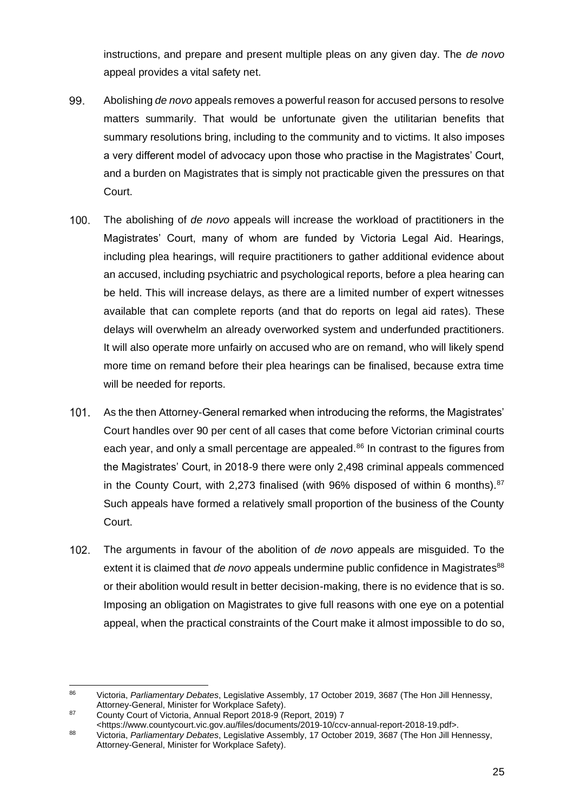instructions, and prepare and present multiple pleas on any given day. The *de novo*  appeal provides a vital safety net.

- 99. Abolishing *de novo* appeals removes a powerful reason for accused persons to resolve matters summarily. That would be unfortunate given the utilitarian benefits that summary resolutions bring, including to the community and to victims. It also imposes a very different model of advocacy upon those who practise in the Magistrates' Court, and a burden on Magistrates that is simply not practicable given the pressures on that Court.
- $100.$ The abolishing of *de novo* appeals will increase the workload of practitioners in the Magistrates' Court, many of whom are funded by Victoria Legal Aid. Hearings, including plea hearings, will require practitioners to gather additional evidence about an accused, including psychiatric and psychological reports, before a plea hearing can be held. This will increase delays, as there are a limited number of expert witnesses available that can complete reports (and that do reports on legal aid rates). These delays will overwhelm an already overworked system and underfunded practitioners. It will also operate more unfairly on accused who are on remand, who will likely spend more time on remand before their plea hearings can be finalised, because extra time will be needed for reports.
- $101.$ As the then Attorney-General remarked when introducing the reforms, the Magistrates' Court handles over 90 per cent of all cases that come before Victorian criminal courts each year, and only a small percentage are appealed.<sup>86</sup> In contrast to the figures from the Magistrates' Court, in 2018-9 there were only 2,498 criminal appeals commenced in the County Court, with 2,273 finalised (with 96% disposed of within 6 months).  $87$ Such appeals have formed a relatively small proportion of the business of the County Court.
- $102.$ The arguments in favour of the abolition of *de novo* appeals are misguided. To the extent it is claimed that *de novo* appeals undermine public confidence in Magistrates<sup>88</sup> or their abolition would result in better decision-making, there is no evidence that is so. Imposing an obligation on Magistrates to give full reasons with one eye on a potential appeal, when the practical constraints of the Court make it almost impossible to do so,

<sup>86</sup> Victoria, *Parliamentary Debates*, Legislative Assembly, 17 October 2019, 3687 (The Hon Jill Hennessy, Attorney-General, Minister for Workplace Safety).

<sup>87</sup> County Court of Victoria, Annual Report 2018-9 (Report, 2019) 7

<sup>&</sup>lt;https://www.countycourt.vic.gov.au/files/documents/2019-10/ccv-annual-report-2018-19.pdf>. <sup>88</sup> Victoria, *Parliamentary Debates*, Legislative Assembly, 17 October 2019, 3687 (The Hon Jill Hennessy,

Attorney-General, Minister for Workplace Safety).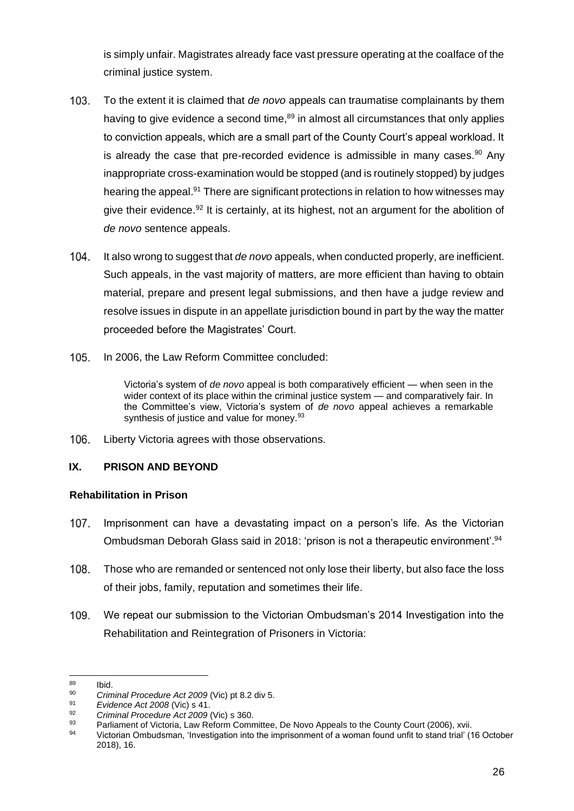is simply unfair. Magistrates already face vast pressure operating at the coalface of the criminal justice system.

- 103. To the extent it is claimed that *de novo* appeals can traumatise complainants by them having to give evidence a second time, $89$  in almost all circumstances that only applies to conviction appeals, which are a small part of the County Court's appeal workload. It is already the case that pre-recorded evidence is admissible in many cases.<sup>90</sup> Any inappropriate cross-examination would be stopped (and is routinely stopped) by judges hearing the appeal.<sup>91</sup> There are significant protections in relation to how witnesses may give their evidence.<sup>92</sup> It is certainly, at its highest, not an argument for the abolition of *de novo* sentence appeals.
- $104.$ It also wrong to suggest that *de novo* appeals, when conducted properly, are inefficient. Such appeals, in the vast majority of matters, are more efficient than having to obtain material, prepare and present legal submissions, and then have a judge review and resolve issues in dispute in an appellate jurisdiction bound in part by the way the matter proceeded before the Magistrates' Court.
- $105.$ In 2006, the Law Reform Committee concluded:

Victoria's system of *de novo* appeal is both comparatively efficient — when seen in the wider context of its place within the criminal justice system — and comparatively fair. In the Committee's view, Victoria's system of *de novo* appeal achieves a remarkable synthesis of justice and value for money.<sup>93</sup>

106. Liberty Victoria agrees with those observations.

## **IX. PRISON AND BEYOND**

## **Rehabilitation in Prison**

- $107<sub>1</sub>$ Imprisonment can have a devastating impact on a person's life. As the Victorian Ombudsman Deborah Glass said in 2018: 'prison is not a therapeutic environment'.<sup>94</sup>
- 108. Those who are remanded or sentenced not only lose their liberty, but also face the loss of their jobs, family, reputation and sometimes their life.
- 109. We repeat our submission to the Victorian Ombudsman's 2014 Investigation into the Rehabilitation and Reintegration of Prisoners in Victoria:

 $\frac{89}{90}$  Ibid.

<sup>90</sup> *Criminal Procedure Act 2009* (Vic) pt 8.2 div 5.

<sup>91</sup> *Evidence Act 2008* (Vic) s 41.

<sup>92</sup> *Criminal Procedure Act 2009* (Vic) s 360.

<sup>93</sup> Parliament of Victoria, Law Reform Committee, De Novo Appeals to the County Court (2006), xvii.<br>94 Victorian Ombudamen, illustration into the imprisonment of a women found unfit to stand trial.

<sup>94</sup> Victorian Ombudsman, 'Investigation into the imprisonment of a woman found unfit to stand trial' (16 October 2018), 16.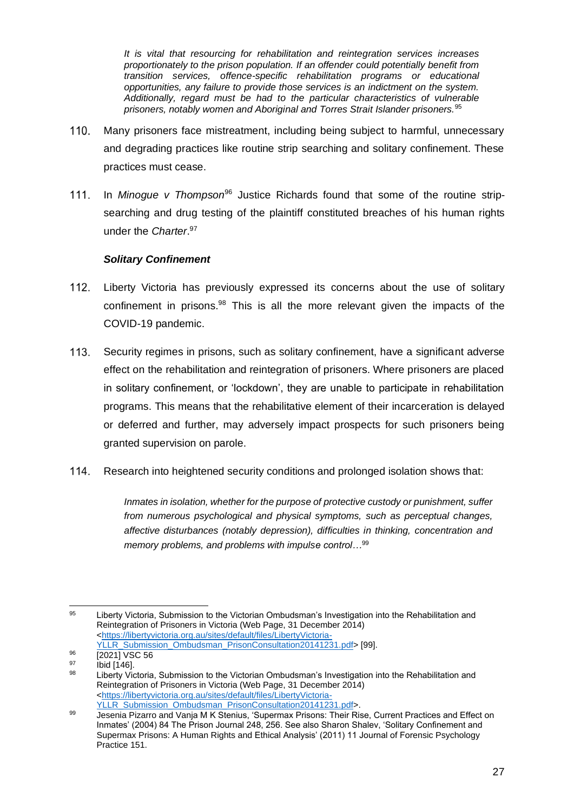*It is vital that resourcing for rehabilitation and reintegration services increases proportionately to the prison population. If an offender could potentially benefit from transition services, offence-specific rehabilitation programs or educational opportunities, any failure to provide those services is an indictment on the system. Additionally, regard must be had to the particular characteristics of vulnerable prisoners, notably women and Aboriginal and Torres Strait Islander prisoners.*<sup>95</sup>

- 110. Many prisoners face mistreatment, including being subject to harmful, unnecessary and degrading practices like routine strip searching and solitary confinement. These practices must cease.
- $111.$ In *Minogue v Thompson*<sup>96</sup> Justice Richards found that some of the routine stripsearching and drug testing of the plaintiff constituted breaches of his human rights under the *Charter*. 97

## *Solitary Confinement*

- 112. Liberty Victoria has previously expressed its concerns about the use of solitary confinement in prisons. $98$  This is all the more relevant given the impacts of the COVID-19 pandemic.
- $113.$ Security regimes in prisons, such as solitary confinement, have a significant adverse effect on the rehabilitation and reintegration of prisoners. Where prisoners are placed in solitary confinement, or 'lockdown', they are unable to participate in rehabilitation programs. This means that the rehabilitative element of their incarceration is delayed or deferred and further, may adversely impact prospects for such prisoners being granted supervision on parole.
- 114. Research into heightened security conditions and prolonged isolation shows that:

*Inmates in isolation, whether for the purpose of protective custody or punishment, suffer from numerous psychological and physical symptoms, such as perceptual changes, affective disturbances (notably depression), difficulties in thinking, concentration and memory problems, and problems with impulse control…*<sup>99</sup>

[YLLR\\_Submission\\_Ombudsman\\_PrisonConsultation20141231.pdf>](https://libertyvictoria.org.au/sites/default/files/LibertyVictoria-YLLR_Submission_Ombudsman_PrisonConsultation20141231.pdf) [99].

<sup>95</sup> Liberty Victoria, Submission to the Victorian Ombudsman's Investigation into the Rehabilitation and Reintegration of Prisoners in Victoria (Web Page, 31 December 2014) [<https://libertyvictoria.org.au/sites/default/files/LibertyVictoria-](https://libertyvictoria.org.au/sites/default/files/LibertyVictoria-YLLR_Submission_Ombudsman_PrisonConsultation20141231.pdf)

 $^{96}$   $\frac{[2021] \text{ VSC } 56}{[2021] \text{ VSC } 56}$ 

 $^{97}$  Ibid [146].

Liberty Victoria, Submission to the Victorian Ombudsman's Investigation into the Rehabilitation and Reintegration of Prisoners in Victoria (Web Page, 31 December 2014) [<https://libertyvictoria.org.au/sites/default/files/LibertyVictoria-](https://libertyvictoria.org.au/sites/default/files/LibertyVictoria-YLLR_Submission_Ombudsman_PrisonConsultation20141231.pdf)[YLLR\\_Submission\\_Ombudsman\\_PrisonConsultation20141231.pdf>](https://libertyvictoria.org.au/sites/default/files/LibertyVictoria-YLLR_Submission_Ombudsman_PrisonConsultation20141231.pdf).

<sup>99</sup> Jesenia Pizarro and Vanja M K Stenius, 'Supermax Prisons: Their Rise, Current Practices and Effect on Inmates' (2004) 84 The Prison Journal 248, 256. See also Sharon Shalev, 'Solitary Confinement and Supermax Prisons: A Human Rights and Ethical Analysis' (2011) 11 Journal of Forensic Psychology Practice 151.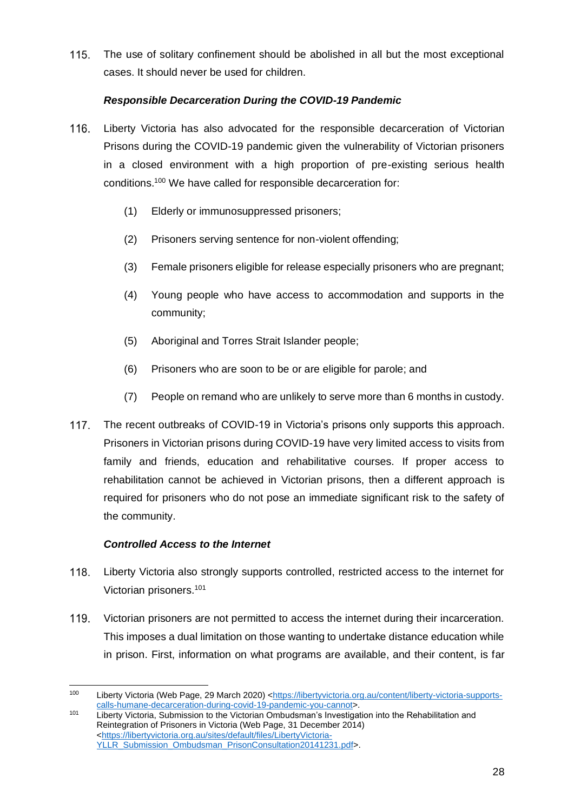115. The use of solitary confinement should be abolished in all but the most exceptional cases. It should never be used for children.

## *Responsible Decarceration During the COVID-19 Pandemic*

- $116.$ Liberty Victoria has also advocated for the responsible decarceration of Victorian Prisons during the COVID-19 pandemic given the vulnerability of Victorian prisoners in a closed environment with a high proportion of pre-existing serious health conditions.<sup>100</sup> We have called for responsible decarceration for:
	- (1) Elderly or immunosuppressed prisoners;
	- (2) Prisoners serving sentence for non-violent offending;
	- (3) Female prisoners eligible for release especially prisoners who are pregnant;
	- (4) Young people who have access to accommodation and supports in the community;
	- (5) Aboriginal and Torres Strait Islander people;
	- (6) Prisoners who are soon to be or are eligible for parole; and
	- (7) People on remand who are unlikely to serve more than 6 months in custody.
- $117.$ The recent outbreaks of COVID-19 in Victoria's prisons only supports this approach. Prisoners in Victorian prisons during COVID-19 have very limited access to visits from family and friends, education and rehabilitative courses. If proper access to rehabilitation cannot be achieved in Victorian prisons, then a different approach is required for prisoners who do not pose an immediate significant risk to the safety of the community.

## *Controlled Access to the Internet*

- $118.$ Liberty Victoria also strongly supports controlled, restricted access to the internet for Victorian prisoners.<sup>101</sup>
- 119. Victorian prisoners are not permitted to access the internet during their incarceration. This imposes a dual limitation on those wanting to undertake distance education while in prison. First, information on what programs are available, and their content, is far

<sup>100</sup> Liberty Victoria (Web Page, 29 March 2020) [<https://libertyvictoria.org.au/content/liberty-victoria-supports](https://libertyvictoria.org.au/content/liberty-victoria-supports-calls-humane-decarceration-during-covid-19-pandemic-you-cannot)[calls-humane-decarceration-during-covid-19-pandemic-you-cannot>](https://libertyvictoria.org.au/content/liberty-victoria-supports-calls-humane-decarceration-during-covid-19-pandemic-you-cannot).

<sup>101</sup> Liberty Victoria, Submission to the Victorian Ombudsman's Investigation into the Rehabilitation and Reintegration of Prisoners in Victoria (Web Page, 31 December 2014) [<https://libertyvictoria.org.au/sites/default/files/LibertyVictoria-](https://libertyvictoria.org.au/sites/default/files/LibertyVictoria-YLLR_Submission_Ombudsman_PrisonConsultation20141231.pdf)[YLLR\\_Submission\\_Ombudsman\\_PrisonConsultation20141231.pdf>](https://libertyvictoria.org.au/sites/default/files/LibertyVictoria-YLLR_Submission_Ombudsman_PrisonConsultation20141231.pdf).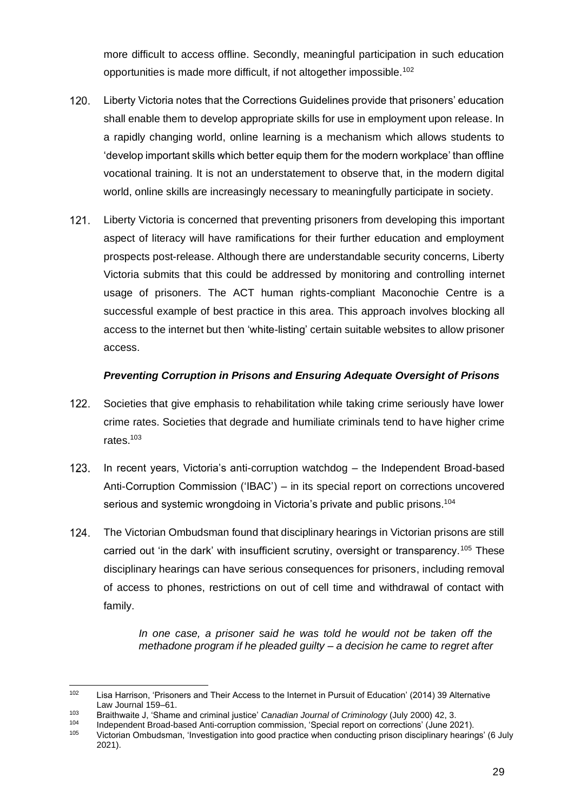more difficult to access offline. Secondly, meaningful participation in such education opportunities is made more difficult, if not altogether impossible.<sup>102</sup>

- 120. Liberty Victoria notes that the Corrections Guidelines provide that prisoners' education shall enable them to develop appropriate skills for use in employment upon release. In a rapidly changing world, online learning is a mechanism which allows students to 'develop important skills which better equip them for the modern workplace' than offline vocational training. It is not an understatement to observe that, in the modern digital world, online skills are increasingly necessary to meaningfully participate in society.
- $121.$ Liberty Victoria is concerned that preventing prisoners from developing this important aspect of literacy will have ramifications for their further education and employment prospects post-release. Although there are understandable security concerns, Liberty Victoria submits that this could be addressed by monitoring and controlling internet usage of prisoners. The ACT human rights-compliant Maconochie Centre is a successful example of best practice in this area. This approach involves blocking all access to the internet but then 'white-listing' certain suitable websites to allow prisoner access.

#### *Preventing Corruption in Prisons and Ensuring Adequate Oversight of Prisons*

- 122. Societies that give emphasis to rehabilitation while taking crime seriously have lower crime rates. Societies that degrade and humiliate criminals tend to have higher crime rates.<sup>103</sup>
- $123.$ In recent years, Victoria's anti-corruption watchdog – the Independent Broad-based Anti-Corruption Commission ('IBAC') – in its special report on corrections uncovered serious and systemic wrongdoing in Victoria's private and public prisons.<sup>104</sup>
- $124.$ The Victorian Ombudsman found that disciplinary hearings in Victorian prisons are still carried out 'in the dark' with insufficient scrutiny, oversight or transparency.<sup>105</sup> These disciplinary hearings can have serious consequences for prisoners, including removal of access to phones, restrictions on out of cell time and withdrawal of contact with family.

*In one case, a prisoner said he was told he would not be taken off the methadone program if he pleaded guilty – a decision he came to regret after* 

<sup>102</sup> Lisa Harrison, 'Prisoners and Their Access to the Internet in Pursuit of Education' (2014) 39 Alternative Law Journal 159–61.

<sup>103</sup> Braithwaite J, 'Shame and criminal justice' *Canadian Journal of Criminology* (July 2000) 42, 3.

<sup>104</sup> Independent Broad-based Anti-corruption commission, 'Special report on corrections' (June 2021).

<sup>105</sup> Victorian Ombudsman, 'Investigation into good practice when conducting prison disciplinary hearings' (6 July 2021).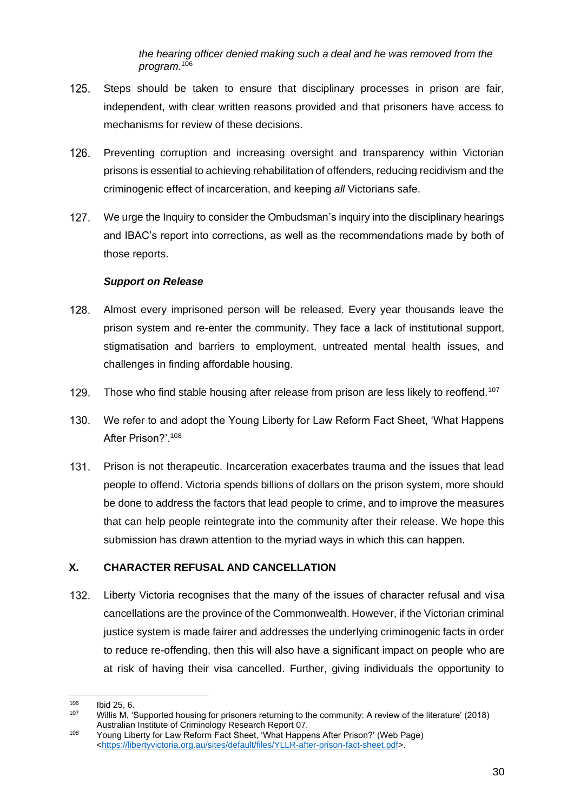*the hearing officer denied making such a deal and he was removed from the program.*<sup>106</sup>

- $125.$ Steps should be taken to ensure that disciplinary processes in prison are fair, independent, with clear written reasons provided and that prisoners have access to mechanisms for review of these decisions.
- 126. Preventing corruption and increasing oversight and transparency within Victorian prisons is essential to achieving rehabilitation of offenders, reducing recidivism and the criminogenic effect of incarceration, and keeping *all* Victorians safe.
- $127.$ We urge the Inquiry to consider the Ombudsman's inquiry into the disciplinary hearings and IBAC's report into corrections, as well as the recommendations made by both of those reports.

## *Support on Release*

- 128. Almost every imprisoned person will be released. Every year thousands leave the prison system and re-enter the community. They face a lack of institutional support, stigmatisation and barriers to employment, untreated mental health issues, and challenges in finding affordable housing.
- 129. Those who find stable housing after release from prison are less likely to reoffend.<sup>107</sup>
- $130.$ We refer to and adopt the Young Liberty for Law Reform Fact Sheet, 'What Happens After Prison?'.<sup>108</sup>
- 131. Prison is not therapeutic. Incarceration exacerbates trauma and the issues that lead people to offend. Victoria spends billions of dollars on the prison system, more should be done to address the factors that lead people to crime, and to improve the measures that can help people reintegrate into the community after their release. We hope this submission has drawn attention to the myriad ways in which this can happen.

## **X. CHARACTER REFUSAL AND CANCELLATION**

132. Liberty Victoria recognises that the many of the issues of character refusal and visa cancellations are the province of the Commonwealth. However, if the Victorian criminal justice system is made fairer and addresses the underlying criminogenic facts in order to reduce re-offending, then this will also have a significant impact on people who are at risk of having their visa cancelled. Further, giving individuals the opportunity to

 $106$  Ibid 25, 6.

<sup>107</sup> Willis M, 'Supported housing for prisoners returning to the community: A review of the literature' (2018) Australian Institute of Criminology Research Report 07.

<sup>108</sup> Young Liberty for Law Reform Fact Sheet, 'What Happens After Prison?' (Web Page) [<https://libertyvictoria.org.au/sites/default/files/YLLR-after-prison-fact-sheet.pdf>](https://libertyvictoria.org.au/sites/default/files/YLLR-after-prison-fact-sheet.pdf).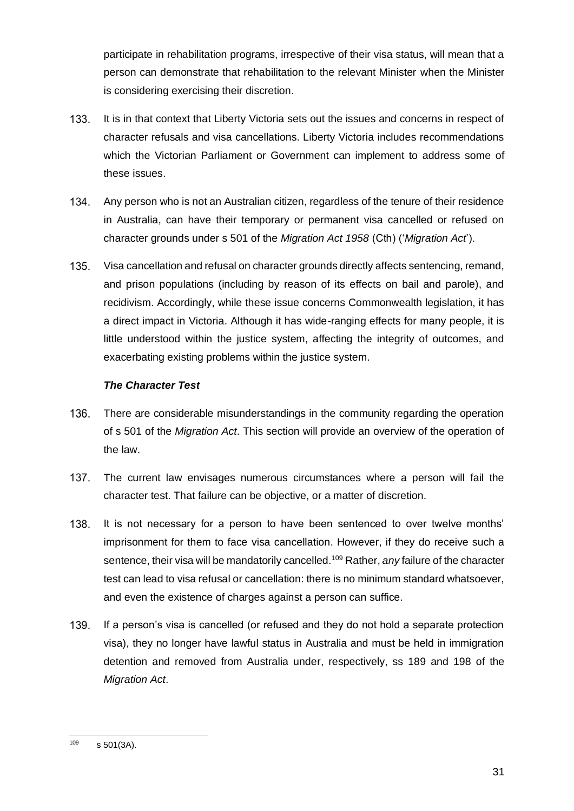participate in rehabilitation programs, irrespective of their visa status, will mean that a person can demonstrate that rehabilitation to the relevant Minister when the Minister is considering exercising their discretion.

- 133. It is in that context that Liberty Victoria sets out the issues and concerns in respect of character refusals and visa cancellations. Liberty Victoria includes recommendations which the Victorian Parliament or Government can implement to address some of these issues.
- 134. Any person who is not an Australian citizen, regardless of the tenure of their residence in Australia, can have their temporary or permanent visa cancelled or refused on character grounds under s 501 of the *Migration Act 1958* (Cth) ('*Migration Act*').
- 135. Visa cancellation and refusal on character grounds directly affects sentencing, remand, and prison populations (including by reason of its effects on bail and parole), and recidivism. Accordingly, while these issue concerns Commonwealth legislation, it has a direct impact in Victoria. Although it has wide-ranging effects for many people, it is little understood within the justice system, affecting the integrity of outcomes, and exacerbating existing problems within the justice system.

## *The Character Test*

- 136. There are considerable misunderstandings in the community regarding the operation of s 501 of the *Migration Act*. This section will provide an overview of the operation of the law.
- 137. The current law envisages numerous circumstances where a person will fail the character test. That failure can be objective, or a matter of discretion.
- 138. It is not necessary for a person to have been sentenced to over twelve months' imprisonment for them to face visa cancellation. However, if they do receive such a sentence, their visa will be mandatorily cancelled.<sup>109</sup> Rather, *any* failure of the character test can lead to visa refusal or cancellation: there is no minimum standard whatsoever, and even the existence of charges against a person can suffice.
- 139. If a person's visa is cancelled (or refused and they do not hold a separate protection visa), they no longer have lawful status in Australia and must be held in immigration detention and removed from Australia under, respectively, ss 189 and 198 of the *Migration Act*.

 $109$  s 501(3A).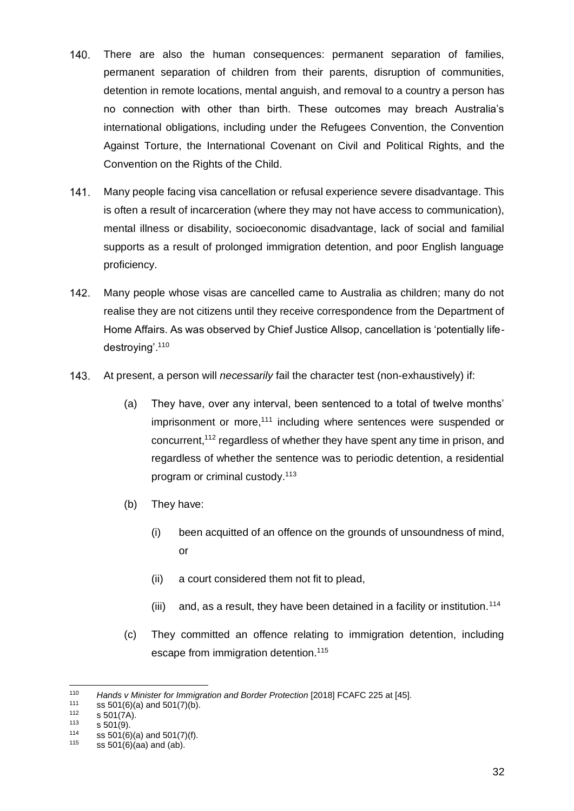- 140. There are also the human consequences: permanent separation of families, permanent separation of children from their parents, disruption of communities, detention in remote locations, mental anguish, and removal to a country a person has no connection with other than birth. These outcomes may breach Australia's international obligations, including under the Refugees Convention, the Convention Against Torture, the International Covenant on Civil and Political Rights, and the Convention on the Rights of the Child.
- $141.$ Many people facing visa cancellation or refusal experience severe disadvantage. This is often a result of incarceration (where they may not have access to communication), mental illness or disability, socioeconomic disadvantage, lack of social and familial supports as a result of prolonged immigration detention, and poor English language proficiency.
- $142.$ Many people whose visas are cancelled came to Australia as children; many do not realise they are not citizens until they receive correspondence from the Department of Home Affairs. As was observed by Chief Justice Allsop, cancellation is 'potentially lifedestroying'.<sup>110</sup>
- $143.$ At present, a person will *necessarily* fail the character test (non-exhaustively) if:
	- (a) They have, over any interval, been sentenced to a total of twelve months' imprisonment or more,<sup>111</sup> including where sentences were suspended or concurrent,<sup>112</sup> regardless of whether they have spent any time in prison, and regardless of whether the sentence was to periodic detention, a residential program or criminal custody.<sup>113</sup>
	- (b) They have:
		- (i) been acquitted of an offence on the grounds of unsoundness of mind, or
		- (ii) a court considered them not fit to plead,
		- (iii) and, as a result, they have been detained in a facility or institution.<sup>114</sup>
	- (c) They committed an offence relating to immigration detention, including escape from immigration detention.<sup>115</sup>

<sup>110</sup> *Hands v Minister for Immigration and Border Protection* [2018] FCAFC 225 at [45].

<sup>&</sup>lt;sup>111</sup> ss 501(6)(a) and 501(7)(b).<br><sup>112</sup> 5 501(7A)

 $^{112}$  s 501(7A).

 $^{113}$  s 501(9).<br> $^{114}$  ss 501(6)

<sup>&</sup>lt;sup>114</sup> ss 501(6)(a) and 501(7)(f).<br><sup>115</sup> ss 501(6)(aa) and (ab)

ss  $501(6)$ (aa) and (ab).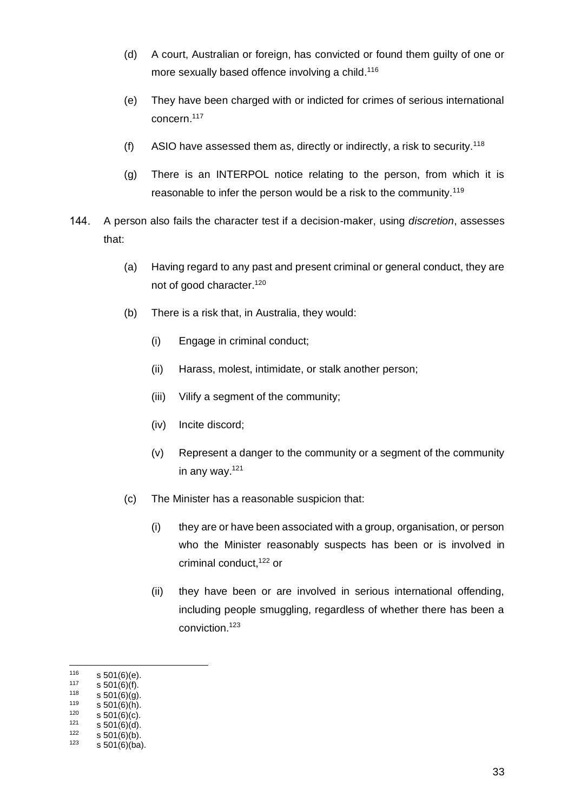- (d) A court, Australian or foreign, has convicted or found them guilty of one or more sexually based offence involving a child.<sup>116</sup>
- (e) They have been charged with or indicted for crimes of serious international concern.<sup>117</sup>
- (f) ASIO have assessed them as, directly or indirectly, a risk to security.<sup>118</sup>
- (g) There is an INTERPOL notice relating to the person, from which it is reasonable to infer the person would be a risk to the community.<sup>119</sup>
- A person also fails the character test if a decision-maker, using *discretion*, assesses 144. that:
	- (a) Having regard to any past and present criminal or general conduct, they are not of good character.<sup>120</sup>
	- (b) There is a risk that, in Australia, they would:
		- (i) Engage in criminal conduct;
		- (ii) Harass, molest, intimidate, or stalk another person;
		- (iii) Vilify a segment of the community;
		- (iv) Incite discord;
		- (v) Represent a danger to the community or a segment of the community in any way.<sup>121</sup>
	- (c) The Minister has a reasonable suspicion that:
		- (i) they are or have been associated with a group, organisation, or person who the Minister reasonably suspects has been or is involved in criminal conduct,<sup>122</sup> or
		- (ii) they have been or are involved in serious international offending, including people smuggling, regardless of whether there has been a conviction.<sup>123</sup>

 $116$  s 501(6)(e).<br>117 e 501(6)(f)

 $^{117}$  s 501(6)(f).<br> $^{118}$  e 501(6)(x)

 $^{118}$  s 501(6)(g).<br> $^{119}$  s 501(6)(b)

 $^{119}$  s 501(6)(h).<br> $^{120}$  s 501(6)(c)

 $^{120}$  s 501(6)(c).<br> $^{121}$  s 501(6)(d)  $^{121}$  s 501(6)(d).<br> $^{122}$  s 501(6)(b)

 $^{122}$  s 501(6)(b).<br> $^{123}$  s 501(6)(ba)

 $s$  501(6)(ba).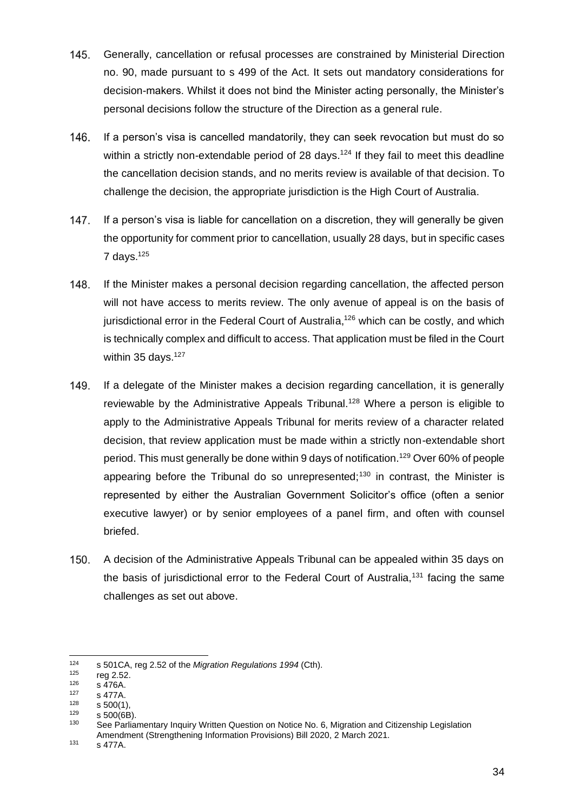- $145.$ Generally, cancellation or refusal processes are constrained by Ministerial Direction no. 90, made pursuant to s 499 of the Act. It sets out mandatory considerations for decision-makers. Whilst it does not bind the Minister acting personally, the Minister's personal decisions follow the structure of the Direction as a general rule.
- 146. If a person's visa is cancelled mandatorily, they can seek revocation but must do so within a strictly non-extendable period of 28 days.<sup>124</sup> If they fail to meet this deadline the cancellation decision stands, and no merits review is available of that decision. To challenge the decision, the appropriate jurisdiction is the High Court of Australia.
- 147. If a person's visa is liable for cancellation on a discretion, they will generally be given the opportunity for comment prior to cancellation, usually 28 days, but in specific cases 7 days. $125$
- 148. If the Minister makes a personal decision regarding cancellation, the affected person will not have access to merits review. The only avenue of appeal is on the basis of jurisdictional error in the Federal Court of Australia,<sup>126</sup> which can be costly, and which is technically complex and difficult to access. That application must be filed in the Court within 35 days.<sup>127</sup>
- 149. If a delegate of the Minister makes a decision regarding cancellation, it is generally reviewable by the Administrative Appeals Tribunal.<sup>128</sup> Where a person is eligible to apply to the Administrative Appeals Tribunal for merits review of a character related decision, that review application must be made within a strictly non-extendable short period. This must generally be done within 9 days of notification.<sup>129</sup> Over 60% of people appearing before the Tribunal do so unrepresented;<sup>130</sup> in contrast, the Minister is represented by either the Australian Government Solicitor's office (often a senior executive lawyer) or by senior employees of a panel firm, and often with counsel briefed.
- 150. A decision of the Administrative Appeals Tribunal can be appealed within 35 days on the basis of jurisdictional error to the Federal Court of Australia,<sup>131</sup> facing the same challenges as set out above.

<sup>131</sup> s 477A.

<sup>124</sup> s 501CA, reg 2.52 of the *Migration Regulations 1994* (Cth).

 $^{125}$  reg 2.52.

 $126$  s 476A.

 $^{127}$  s 477A.<br> $^{128}$  s 500(1)

 $\frac{128}{129}$  s 500(1),

 $^{129}$  s 500(6B).

See Parliamentary Inquiry Written Question on Notice No. 6, Migration and Citizenship Legislation Amendment (Strengthening Information Provisions) Bill 2020, 2 March 2021.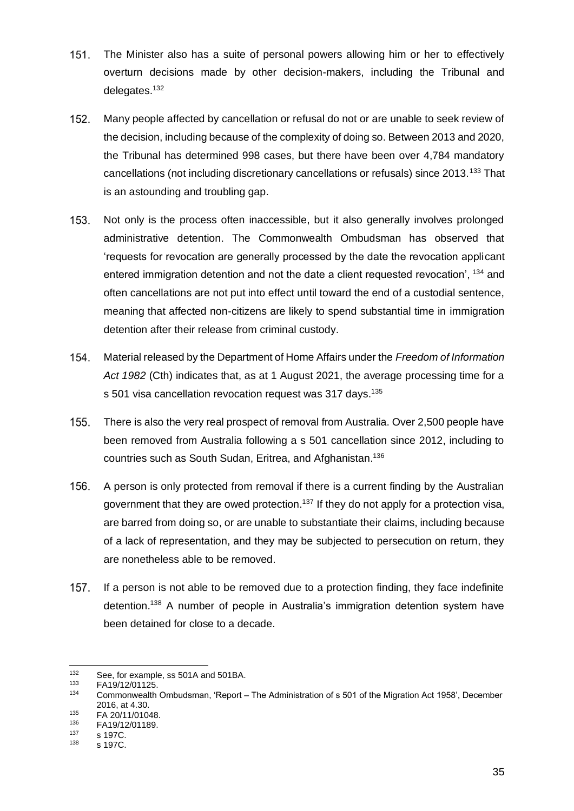- 151. The Minister also has a suite of personal powers allowing him or her to effectively overturn decisions made by other decision-makers, including the Tribunal and delegates.<sup>132</sup>
- 152. Many people affected by cancellation or refusal do not or are unable to seek review of the decision, including because of the complexity of doing so. Between 2013 and 2020, the Tribunal has determined 998 cases, but there have been over 4,784 mandatory cancellations (not including discretionary cancellations or refusals) since 2013.<sup>133</sup> That is an astounding and troubling gap.
- 153. Not only is the process often inaccessible, but it also generally involves prolonged administrative detention. The Commonwealth Ombudsman has observed that 'requests for revocation are generally processed by the date the revocation applicant entered immigration detention and not the date a client requested revocation', 134 and often cancellations are not put into effect until toward the end of a custodial sentence, meaning that affected non-citizens are likely to spend substantial time in immigration detention after their release from criminal custody.
- 154. Material released by the Department of Home Affairs under the *Freedom of Information Act 1982* (Cth) indicates that, as at 1 August 2021, the average processing time for a s 501 visa cancellation revocation request was 317 days.<sup>135</sup>
- There is also the very real prospect of removal from Australia. Over 2,500 people have  $155.$ been removed from Australia following a s 501 cancellation since 2012, including to countries such as South Sudan, Eritrea, and Afghanistan.<sup>136</sup>
- 156. A person is only protected from removal if there is a current finding by the Australian government that they are owed protection.<sup>137</sup> If they do not apply for a protection visa, are barred from doing so, or are unable to substantiate their claims, including because of a lack of representation, and they may be subjected to persecution on return, they are nonetheless able to be removed.
- If a person is not able to be removed due to a protection finding, they face indefinite detention.<sup>138</sup> A number of people in Australia's immigration detention system have been detained for close to a decade.

<sup>132</sup> See, for example, ss 501A and 501BA.<br>133 EA10(12/01125

 $133$  FA19/12/01125.

<sup>134</sup> Commonwealth Ombudsman, 'Report – The Administration of s 501 of the Migration Act 1958', December 2016, at 4.30.

 $^{135}$  FA 20/11/01048.

 $^{136}$  FA19/12/01189.

 $^{137}$  s 197C.<br> $^{138}$  s 197C.

s 197C.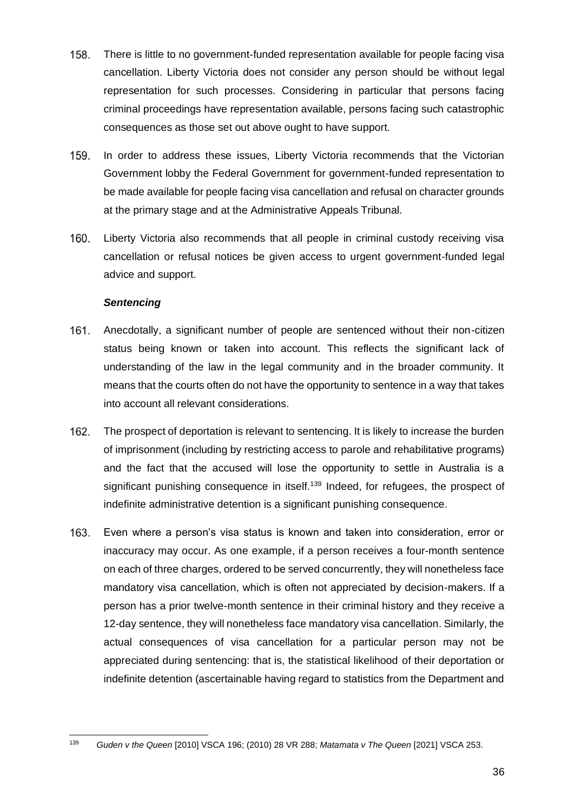- 158. There is little to no government-funded representation available for people facing visa cancellation. Liberty Victoria does not consider any person should be without legal representation for such processes. Considering in particular that persons facing criminal proceedings have representation available, persons facing such catastrophic consequences as those set out above ought to have support.
- 159. In order to address these issues, Liberty Victoria recommends that the Victorian Government lobby the Federal Government for government-funded representation to be made available for people facing visa cancellation and refusal on character grounds at the primary stage and at the Administrative Appeals Tribunal.
- 160. Liberty Victoria also recommends that all people in criminal custody receiving visa cancellation or refusal notices be given access to urgent government-funded legal advice and support.

#### *Sentencing*

- 161. Anecdotally, a significant number of people are sentenced without their non-citizen status being known or taken into account. This reflects the significant lack of understanding of the law in the legal community and in the broader community. It means that the courts often do not have the opportunity to sentence in a way that takes into account all relevant considerations.
- 162. The prospect of deportation is relevant to sentencing. It is likely to increase the burden of imprisonment (including by restricting access to parole and rehabilitative programs) and the fact that the accused will lose the opportunity to settle in Australia is a significant punishing consequence in itself.<sup>139</sup> Indeed, for refugees, the prospect of indefinite administrative detention is a significant punishing consequence.
- 163. Even where a person's visa status is known and taken into consideration, error or inaccuracy may occur. As one example, if a person receives a four-month sentence on each of three charges, ordered to be served concurrently, they will nonetheless face mandatory visa cancellation, which is often not appreciated by decision-makers. If a person has a prior twelve-month sentence in their criminal history and they receive a 12-day sentence, they will nonetheless face mandatory visa cancellation. Similarly, the actual consequences of visa cancellation for a particular person may not be appreciated during sentencing: that is, the statistical likelihood of their deportation or indefinite detention (ascertainable having regard to statistics from the Department and

<sup>139</sup> *Guden v the Queen* [2010] VSCA 196; (2010) 28 VR 288; *Matamata v The Queen* [2021] VSCA 253.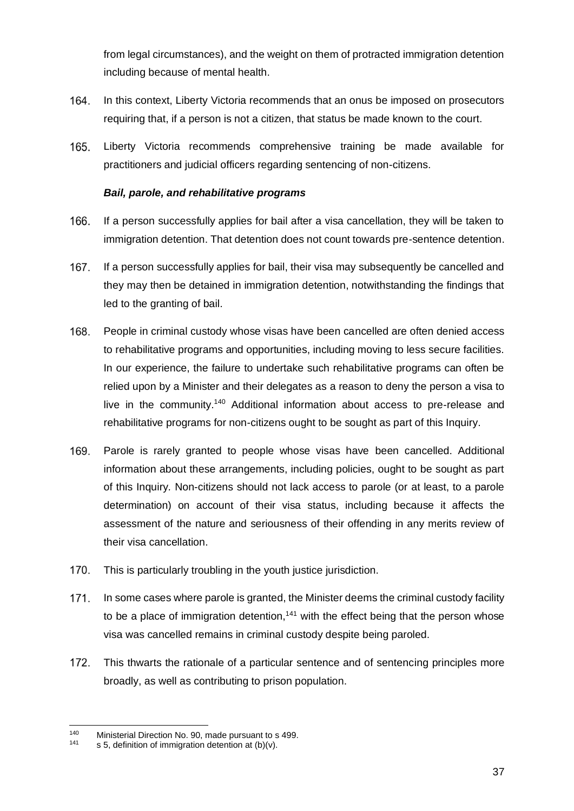from legal circumstances), and the weight on them of protracted immigration detention including because of mental health.

- 164. In this context, Liberty Victoria recommends that an onus be imposed on prosecutors requiring that, if a person is not a citizen, that status be made known to the court.
- 165. Liberty Victoria recommends comprehensive training be made available for practitioners and judicial officers regarding sentencing of non-citizens.

### *Bail, parole, and rehabilitative programs*

- 166. If a person successfully applies for bail after a visa cancellation, they will be taken to immigration detention. That detention does not count towards pre-sentence detention.
- 167. If a person successfully applies for bail, their visa may subsequently be cancelled and they may then be detained in immigration detention, notwithstanding the findings that led to the granting of bail.
- 168. People in criminal custody whose visas have been cancelled are often denied access to rehabilitative programs and opportunities, including moving to less secure facilities. In our experience, the failure to undertake such rehabilitative programs can often be relied upon by a Minister and their delegates as a reason to deny the person a visa to live in the community.<sup>140</sup> Additional information about access to pre-release and rehabilitative programs for non-citizens ought to be sought as part of this Inquiry.
- 169. Parole is rarely granted to people whose visas have been cancelled. Additional information about these arrangements, including policies, ought to be sought as part of this Inquiry*.* Non-citizens should not lack access to parole (or at least, to a parole determination) on account of their visa status, including because it affects the assessment of the nature and seriousness of their offending in any merits review of their visa cancellation.
- 170. This is particularly troubling in the youth justice jurisdiction.
- $171.$ In some cases where parole is granted, the Minister deems the criminal custody facility to be a place of immigration detention,<sup>141</sup> with the effect being that the person whose visa was cancelled remains in criminal custody despite being paroled.
- 172. This thwarts the rationale of a particular sentence and of sentencing principles more broadly, as well as contributing to prison population.

<sup>&</sup>lt;sup>140</sup> Ministerial Direction No. 90, made pursuant to s 499.<br><sup>141</sup> s 5 definition of immigration detention at (b)(y)

s 5, definition of immigration detention at  $(b)(v)$ .